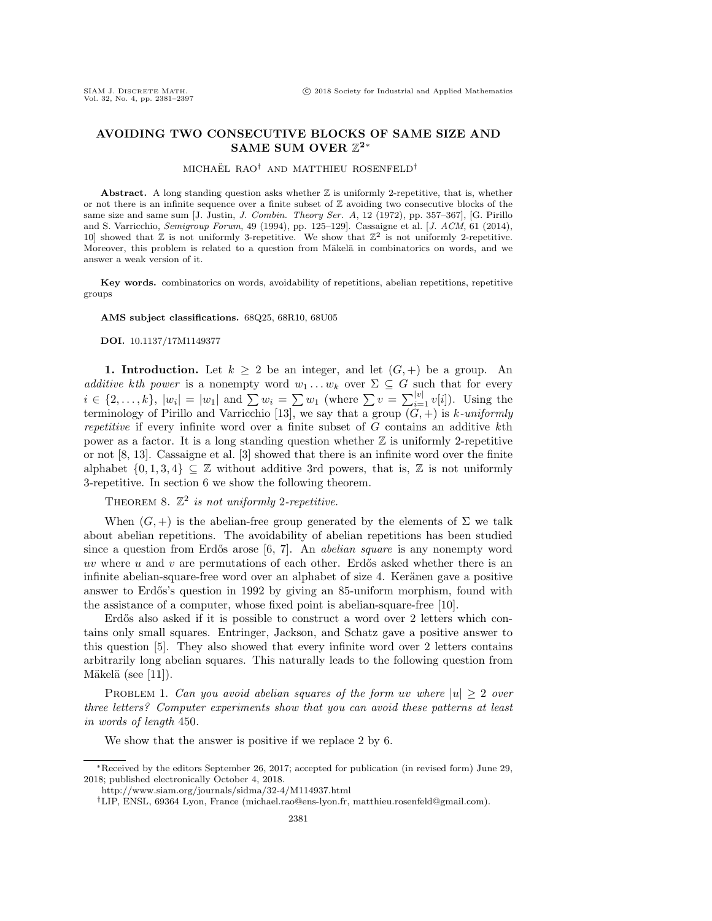## AVOIDING TWO CONSECUTIVE BLOCKS OF SAME SIZE AND SAME SUM OVER  $\mathbb Z^2^*$

## MICHAËL RAO<sup>†</sup> AND MATTHIEU ROSENFELD<sup>†</sup>

Abstract. A long standing question asks whether  $\mathbb Z$  is uniformly 2-repetitive, that is, whether or not there is an infinite sequence over a finite subset of  $\Z$  avoiding two consecutive blocks of the same size and same sum  $[J.$  Justin, J. Combin. Theory Ser. A, 12 (1972), pp. 357-367. [G. Pirillo and S. Varricchio, Semigroup Forum, 49 (1994), pp. 125–129]. Cassaigne et al. [J. ACM, 61 (2014), 10 showed that  $\mathbb Z$  is not uniformly 3-repetitive. We show that  $\mathbb Z^2$  is not uniformly 2-repetitive. Moreover, this problem is related to a question from Mäkelä in combinatorics on words, and we answer a weak version of it.

Key words. combinatorics on words, avoidability of repetitions, abelian repetitions, repetitive groups

AMS subject classifications. 68Q25, 68R10, 68U05

DOI. 10.1137/17M1149377

1. Introduction. Let  $k \geq 2$  be an integer, and let  $(G, +)$  be a group. An additive kth power is a nonempty word  $w_1 \dots w_k$  over  $\Sigma \subseteq G$  such that for every  $i \in \{2, ..., k\}$ ,  $|w_i| = |w_1|$  and  $\sum w_i = \sum w_1$  (where  $\sum v = \sum_{i=1}^{|v|} v[i]$ ). Using the terminology of Pirillo and Varricchio [\[13\]](#page-16-0), we say that a group  $(G,+)$  is k-uniformly repetitive if every infinite word over a finite subset of  $G$  contains an additive  $k$ th power as a factor. It is a long standing question whether  $\mathbb Z$  is uniformly 2-repetitive or not [\[8,](#page-16-1) [13\]](#page-16-0). Cassaigne et al. [\[3\]](#page-16-2) showed that there is an infinite word over the finite alphabet  $\{ 0, 1, 3, 4\} \subseteq \mathbb{Z}$  without additive 3rd powers, that is,  $\mathbb{Z}$  is not uniformly 3-repetitive. In section [6](#page-13-0) we show the following theorem.

THEOREM [8](#page-14-0).  $\mathbb{Z}^2$  is not uniformly 2-repetitive.

When  $(G, +)$  is the abelian-free group generated by the elements of  $\Sigma$  we talk about abelian repetitions. The avoidability of abelian repetitions has been studied since a question from Erd $\delta$ s arose [\[6,](#page-16-3) [7\]](#page-16-4). An *abelian square* is any nonempty word uv where  $u$  and  $v$  are permutations of each other. Erd $\delta s$  asked whether there is an infinite abelian-square-free word over an alphabet of size 4. Ker\"anen gave a positive answer to Erdős's question in 1992 by giving an 85-uniform morphism, found with the assistance of a computer, whose fixed point is abelian-square-free [\[10\]](#page-16-5).

Erd $\ddot{\text{o}}$  also asked if it is possible to construct a word over 2 letters which contains only small squares. Entringer, Jackson, and Schatz gave a positive answer to this question [\[5\]](#page-16-6). They also showed that every infinite word over 2 letters contains arbitrarily long abelian squares. This naturally leads to the following question from Mäkelä (see [\[11\]](#page-16-7)).

<span id="page-0-0"></span>PROBLEM 1. Can you avoid abelian squares of the form uv where  $|u| \geq 2$  over three letters? Computer experiments show that you can avoid these patterns at least in words of length 450.

We show that the answer is positive if we replace 2 by 6.

 $*$  Received by the editors September 26, 2017; accepted for publication (in revised form) June 29, 2018; published electronically October 4, 2018.

<http://www.siam.org/journals/sidma/32-4/M114937.html>

<sup>&</sup>lt;sup>†</sup>LIP, ENSL, 69364 Lyon, France [\(michael.rao@ens-lyon.fr,](mailto:michael.rao@ens-lyon.fr) [matthieu.rosenfeld@gmail.com\)](mailto:matthieu.rosenfeld@gmail.com).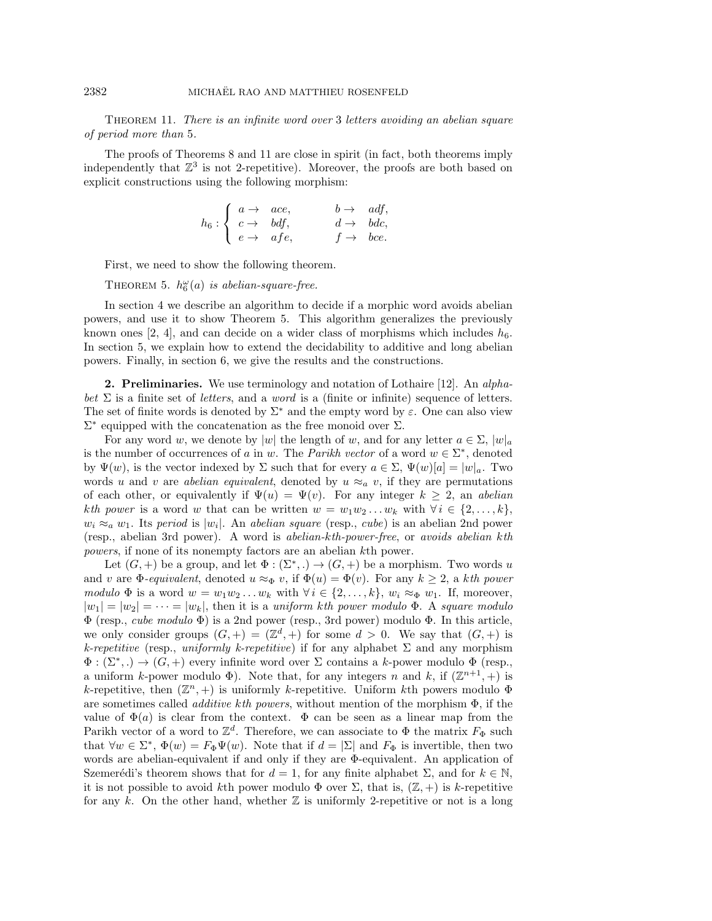THEOREM [11](#page-15-0). There is an infinite word over 3 letters avoiding an abelian square of period more than 5.

The proofs of Theorems [8](#page-14-0) and [11](#page-15-0) are close in spirit (in fact, both theorems imply independently that  $\mathbb{Z}^3$  is not 2-repetitive). Moreover, the proofs are both based on explicit constructions using the following morphism:

$$
h_6: \left\{ \begin{array}{ll} a \rightarrow & ace, & b \rightarrow & adf, \\ c \rightarrow & bdf, & d \rightarrow & bdc, \\ e \rightarrow & afe, & f \rightarrow & bce. \end{array} \right.
$$

First, we need to show the following theorem.

THEOREM [5](#page-13-1).  $h_6^{\omega}(a)$  is abelian-square-free.

In section [4](#page-4-0) we describe an algorithm to decide if a morphic word avoids abelian powers, and use it to show Theorem [5.](#page-13-1) This algorithm generalizes the previously known ones [\[2,](#page-16-8) [4\]](#page-16-9), and can decide on a wider class of morphisms which includes  $h_6$ . In section [5,](#page-10-0) we explain how to extend the decidability to additive and long abelian powers. Finally, in section [6,](#page-13-0) we give the results and the constructions.

**2. Preliminaries.** We use terminology and notation of Lothaire [\[12\]](#page-16-10). An *alpha*bet  $\Sigma$  is a finite set of letters, and a word is a (finite or infinite) sequence of letters. The set of finite words is denoted by  $\Sigma^*$  and the empty word by  $\varepsilon$ . One can also view  $\Sigma^*$  equipped with the concatenation as the free monoid over  $\Sigma$ .

For any word w, we denote by |w| the length of w, and for any letter  $a \in \Sigma$ ,  $|w|_a$ is the number of occurrences of a in w. The *Parikh vector* of a word  $w \in \Sigma^*$ , denoted by  $\Psi (w)$ , is the vector indexed by  $\Sigma$  such that for every  $a \in \Sigma$ ,  $\Psi (w)[a] = |w|_a$ . Two words u and v are abelian equivalent, denoted by  $u \approx_a v$ , if they are permutations of each other, or equivalently if  $\Psi (u) = \Psi (v)$ . For any integer  $k \geq 2$ , an abelian kth power is a word w that can be written  $w = w_1w_2 \ldots w_k$  with  $\forall i \in \{2, \ldots, k\}$ ,  $w_i \approx_a w_1$ . Its period is  $|w_i|$ . An abelian square (resp., cube) is an abelian 2nd power (resp., abelian 3rd power). A word is abelian-kth-power-free, or avoids abelian kth powers, if none of its nonempty factors are an abelian kth power.

Let  $(G, +)$  be a group, and let  $\Phi : (\Sigma^*,.) \rightarrow (G, +)$  be a morphism. Two words u and v are  $\Phi$ -equivalent, denoted  $u \approx_{\Phi} v$ , if  $\Phi (u) = \Phi (v)$ . For any  $k \geq 2$ , a kth power modulo  $\Phi$  is a word  $w = w_1w_2 \ldots w_k$  with  $\forall i \in \{ 2, \ldots, k\}$ ,  $w_i \approx_{\Phi} w_1$ . If, moreover,  $|w_1| = |w_2| = \cdots = |w_k|$ , then it is a uniform kth power modulo  $\Phi$ . A square modulo  $\Phi$  (resp., cube modulo  $\Phi$ ) is a 2nd power (resp., 3rd power) modulo  $\Phi$ . In this article, we only consider groups  $(G,+) = (\mathbb{Z}^d,+)$  for some  $d > 0$ . We say that  $(G,+)$  is k-repetitive (resp., uniformly k-repetitive) if for any alphabet  $\Sigma$  and any morphism  $\Phi : (\Sigma^*,.) \to (G, +)$  every infinite word over  $\Sigma$  contains a k-power modulo  $\Phi$  (resp., a uniform k-power modulo  $\Phi$ ). Note that, for any integers n and k, if  $(\mathbb{Z}^{n+1}, +)$  is k-repetitive, then  $(\mathbb{Z}^n, +)$  is uniformly k-repetitive. Uniform kth powers modulo  $\Phi$ are sometimes called *additive kth powers*, without mention of the morphism  $\Phi$ , if the value of  $\Phi (a)$  is clear from the context.  $\Phi$  can be seen as a linear map from the Parikh vector of a word to  $\mathbb{Z}^d$ . Therefore, we can associate to  $\Phi$  the matrix  $F_\Phi$  such that  $\forall w \in \Sigma^*, \Phi(w) = F_\Phi \Psi(w)$ . Note that if  $d = |\Sigma|$  and  $F_\Phi$  is invertible, then two words are abelian-equivalent if and only if they are  $\Phi$ -equivalent. An application of Szemerédi's theorem shows that for  $d = 1$ , for any finite alphabet  $\Sigma$ , and for  $k \in \mathbb N$ , it is not possible to avoid kth power modulo  $\Phi$  over  $\Sigma$ , that is,  $(\mathbb{Z} , +)$  is k-repetitive for any k. On the other hand, whether  $\mathbb Z$  is uniformly 2-repetitive or not is a long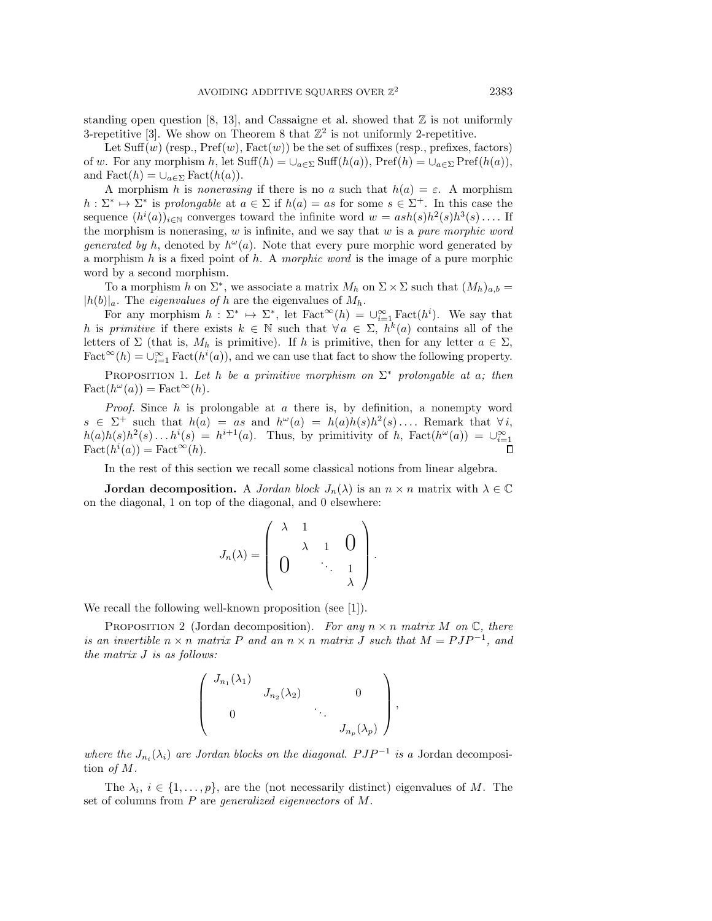standing open question [\[8,](#page-16-1) [13\]](#page-16-0), and Cassaigne et al. showed that  $\mathbb Z$  is not uniformly 3-repetitive [\[3\]](#page-16-2). We show on Theorem [8](#page-14-0) that  $\mathbb{Z}^2$  is not uniformly 2-repetitive.

Let  $Suff(w)$  (resp.,  $Pref(w)$ ,  $Fact(w)$ ) be the set of suffixes (resp., prefixes, factors) of w. For any morphism h, let  $\text{Suff}(h) = \bigcup_{a\in \Sigma} \text{Suff}(h(a)), \text{Pref}(h) = \bigcup_{a\in \Sigma} \text{Pref}(h(a)),$ and  $\text{Fact}(h) = \bigcup_{a \in \Sigma} \text{Fact}(h(a)).$ 

A morphism h is nonerasing if there is no a such that  $h(a) = \varepsilon$ . A morphism  $h: \Sigma^* \mapsto \Sigma^*$  is prolongable at  $a \in \Sigma$  if  $h(a) = as$  for some  $s \in \Sigma^+$ . In this case the sequence  $(h^i(a))_{i\in \mathbb{N}}$  converges toward the infinite word  $w = a sh(s)h^2(s)h^3(s) \dots$  If the morphism is nonerasing,  $w$  is infinite, and we say that  $w$  is a *pure morphic word* generated by h, denoted by  $h^{\omega}(a)$ . Note that every pure morphic word generated by a morphism  $h$  is a fixed point of  $h$ . A *morphic word* is the image of a pure morphic word by a second morphism.

To a morphism h on  $\Sigma^*$ , we associate a matrix  $M_h$  on  $\Sigma \times \Sigma$  such that  $(M_h)_{a,b} =$  $|h(b)|_a$ . The *eigenvalues of h* are the eigenvalues of  $M_h$ .

For any morphism  $h : \Sigma^* \mapsto \Sigma^*$ , let Fact $\infty(h) = \bigcup_{i=1}^{\infty} \text{Fact}(h^i)$ . We say that h is primitive if there exists  $k \in \Bbb N$  such that  $\forall a \in \Sigma, h^{\overline{k}}(a)$  contains all of the letters of  $\Sigma$  (that is,  $M_h$  is primitive). If h is primitive, then for any letter  $a \in \Sigma$ ,  $\text{Fact}^{\infty}(h) = \dot{\cup}_{i=1}^{\infty} \text{Fact}(h^i(a))$ , and we can use that fact to show the following property.

<span id="page-2-0"></span>PROPOSITION 1. Let h be a primitive morphism on  $\Sigma^*$  prolongable at a; then  $\text{Fact}(h^{\omega}(a)) = \text{Fact}^{\infty}(h).$ 

*Proof.* Since h is prolongable at a there is, by definition, a nonempty word  $s \in \Sigma^+$  such that  $h(a) = as$  and  $h^{\omega}(a) = h(a)h(s)h^2(s) \ldots$  Remark that  $\forall i$ ,  $h(a)h(s)h^{2}(s)...h^{i}(s) = h^{i+1}(a)$ . Thus, by primitivity of h, Fact $(h^{\omega}(a)) = \cup_{i=1}^{\infty}$  $Fact(h<sup>i</sup>(a)) = Fact^{\infty}(h).$  $\Box$ 

In the rest of this section we recall some classical notions from linear algebra.

**Jordan decomposition.** A *Jordan block*  $J_n(\lambda )$  is an  $n \times n$  matrix with  $\lambda \in \Bbb C$ on the diagonal, 1 on top of the diagonal, and 0 elsewhere:

$$
J_n(\lambda) = \left(\begin{array}{cccc} \lambda & 1 & & \\ \lambda & 1 & 0 \\ 0 & & \ddots & 1 \\ \end{array}\right).
$$

We recall the following well-known proposition (see [\[1\]](#page-16-11)).

<span id="page-2-1"></span>PROPOSITION 2 (Jordan decomposition). For any  $n \times n$  matrix M on  $\Bbb C$ , there is an invertible  $n \times n$  matrix P and an  $n \times n$  matrix J such that  $M = P J P^{-1}$ , and the matrix J is as follows:

$$
\left(\begin{array}{cccc}J_{n_1}(\lambda_1) & & & \\ & J_{n_2}(\lambda_2) & & 0 \\ & & \ddots & \\ 0 & & & J_{n_p}(\lambda_p)\end{array}\right),
$$

where the  $J_{n_i}(\lambda_i)$  are Jordan blocks on the diagonal.  $PJP^{-1}$  is a Jordan decomposition of M.

The  $\lambda_i, i \in \{ 1, ..., p\}$ , are the (not necessarily distinct) eigenvalues of M. The set of columns from P are generalized eigenvectors of M.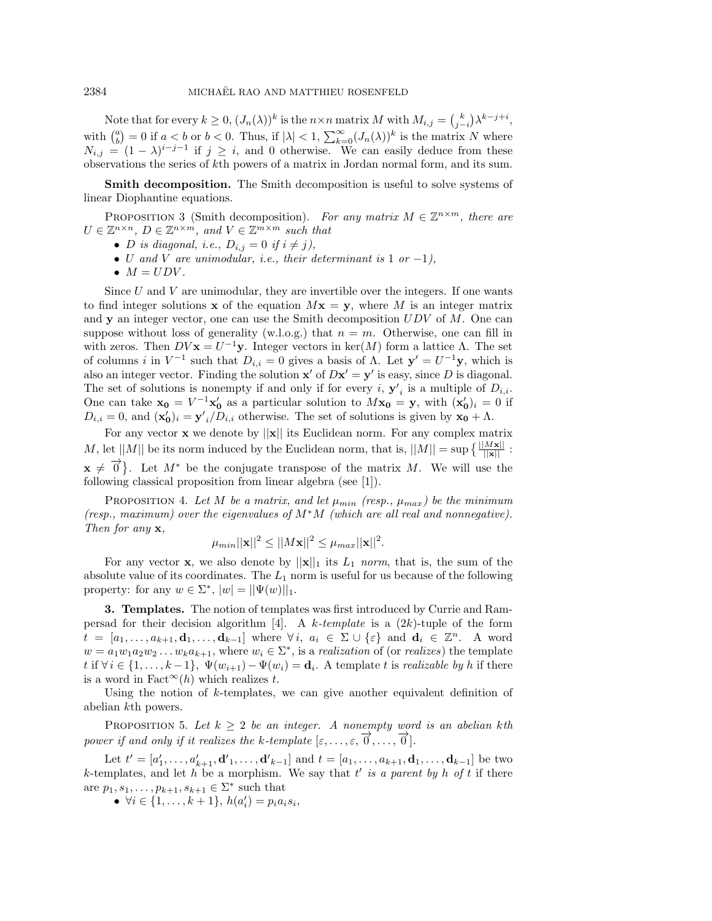Note that for every  $k \geq 0$ ,  $(J_n(\lambda))^k$  is the  $n \times n$  matrix M with  $M_{i,j} = {k \choose j-i} \lambda^{k-j+i}$ , with  $\binom{a}{b} = 0$  if  $a < b$  or  $b < 0$ . Thus, if  $|\lambda| < 1$ ,  $\sum_{k=0}^{\infty} (J_n(\lambda))^k$  is the matrix N where  $N_{i,j} = (1 - \lambda)^{i - j - 1}$  if  $j \geq i$ , and 0 otherwise. We can easily deduce from these observations the series of kth powers of a matrix in Jordan normal form, and its sum.

**Smith decomposition.** The Smith decomposition is useful to solve systems of linear Diophantine equations.

<span id="page-3-0"></span>PROPOSITION 3 (Smith decomposition). For any matrix  $M \in \mathbb{Z}^{n \times m}$ , there are  $U \in \mathbb{Z}^{n \times n}$ ,  $D \in \mathbb{Z}^{n \times m}$ , and  $V \in \mathbb{Z}^{m \times m}$  such that

- $\bullet$  D is diagonal, i.e.,  $D_{i,j} = 0$  if  $i \neq j$ ),
- $\bullet$  U and V are unimodular, i.e., their determinant is 1 or -1),
- $\bullet$   $M = UDV$ .

Since  $U$  and  $V$  are unimodular, they are invertible over the integers. If one wants to find integer solutions x of the equation  $Mx = y$ , where M is an integer matrix and **y** an integer vector, one can use the Smith decomposition  $UDV$  of  $M$ . One can suppose without loss of generality (w.l.o.g.) that  $n = m$ . Otherwise, one can fill in with zeros. Then  $DV\mathbf{x} = U^{-1}\mathbf{y}$ . Integer vectors in ker $(M)$  form a lattice  $\Lambda$ . The set of columns i in  $V^{-1}$  such that  $D_{i,i} = 0$  gives a basis of  $\Lambda$ . Let  $\mathbf{y}' = U^{-1}\mathbf{y}$ , which is also an integer vector. Finding the solution  $x'$  of  $Dx' = y'$  is easy, since D is diagonal. The set of solutions is nonempty if and only if for every *i*,  $\mathbf{y}'_i$  is a multiple of  $D_{i,i}$ . One can take  $\mathbf{x_0} = V^{-1}\mathbf{x'_0}$  as a particular solution to  $M\mathbf{x_0} = \mathbf{y}$ , with  $(\mathbf{x'_0})_i = 0$  if  $D_{i,i} = 0$ , and  $(\mathbf{x}_0')_i = \mathbf{y'}_i/D_{i,i}$  otherwise. The set of solutions is given by  $\mathbf{x}_0 + \Lambda$ .

For any vector  $x$  we denote by  $||x||$  its Euclidean norm. For any complex matrix M, let  $||M||$  be its norm induced by the Euclidean norm, that is,  $||M|| = \sup \left\{ \frac{||M\mathbf{x}||}{||\mathbf{x}||} \right\}$ :  $\mathbf{x} \neq \overrightarrow{0}$ . Let  $M^*$  be the conjugate transpose of the matrix M. We will use the following classical proposition from linear algebra (see [\[1\]](#page-16-11)).

<span id="page-3-1"></span>PROPOSITION 4. Let M be a matrix, and let  $\mu_{min}$  (resp.,  $\mu_{max}$ ) be the minimum (resp., maximum) over the eigenvalues of  $M^*M$  (which are all real and nonnegative). Then for any **x**,

$$
\mu_{min} ||\mathbf{x}||^2 \le ||M\mathbf{x}||^2 \le \mu_{max} ||\mathbf{x}||^2.
$$

For any vector **x**, we also denote by  $||\mathbf{x}||_1$  its  $L_1$  norm, that is, the sum of the absolute value of its coordinates. The  $L_1$  norm is useful for us because of the following property: for any  $w \in \Sigma^*$ ,  $|w| = ||\Psi(w)||_1$ .

<span id="page-3-2"></span>3. Templates. The notion of templates was first introduced by Currie and Ram-persad for their decision algorithm [\[4\]](#page-16-9). A  $k$ -template is a  $(2k)$ -tuple of the form  $t = [a_1, \ldots, a_{k+1}, \mathbf{d}_1, \ldots, \mathbf{d}_{k-1}]$  where  $\forall i, a_i \in \Sigma \cup \{\varepsilon \}$  and  $\mathbf{d}_i \in \mathbb{Z}^n$ . A word  $w = a_1 w_1 a_2 w_2 \dots w_k a_{k+1}$ , where  $w_i \in \Sigma^*$ , is a *realization* of (or *realizes*) the template t if  $\forall i \in \{ 1, ..., k - 1\}$ ,  $\Psi (w_{i+1}) - \Psi (w_i) = \mathbf{d}_i$ . A template t is realizable by h if there is a word in Fact<sup> $\infty$ </sup> $(h)$  which realizes t.

Using the notion of k-templates, we can give another equivalent definition of abelian kth powers.

PROPOSITION 5. Let  $k \geq 2$  be an integer. A nonempty word is an abelian kth power if and only if it realizes the k-template  $[\varepsilon, \ldots, \varepsilon, \overrightarrow{0}, \ldots, \overrightarrow{0}]$ .

Let  $t' = [a'_1, \ldots, a'_{k+1}, \mathbf{d'}_1, \ldots, \mathbf{d'}_{k-1}]$  and  $t = [a_1, \ldots, a_{k+1}, \mathbf{d}_1, \ldots, \mathbf{d}_{k-1}]$  be two k-templates, and let h be a morphism. We say that t' is a parent by h of t if there are  $p_1, s_1, \ldots, p_{k+1}, s_{k+1} \in \Sigma^*$  such that

 $\bullet \ \forall i \in \{ 1, \ldots, k + 1\}, \ h(a_i') = p_i a_i s_i,$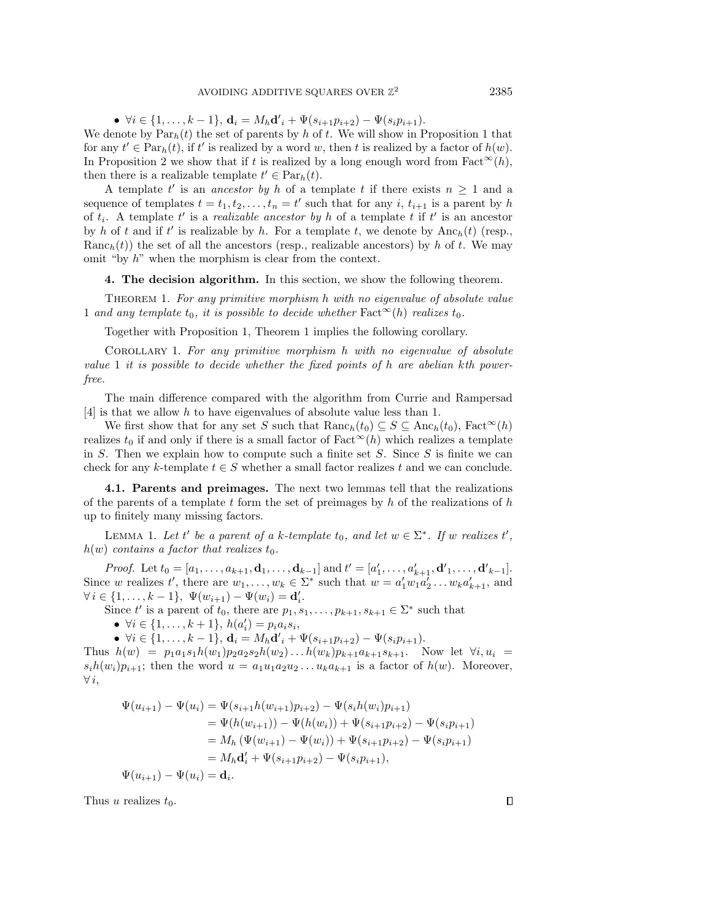$\bullet \ \forall i \in \{ 1, \ldots, k - 1\} , \ \mathbf{d}_i = M_h \mathbf{d'}_i + \Psi (s_{i+1}p_{i+2}) - \Psi (s_i p_{i+1}).$ We denote by  $\text{Par}_h(t)$  the set of parents by h of t. We will show in Proposition [1](#page-4-1) that for any  $t' \in \text{Par}_h(t)$ , if t' is realized by a word w, then t is realized by a factor of  $h(w)$ . In Proposition [2](#page-5-0) we show that if t is realized by a long enough word from Fact<sup> $\infty$ </sup>(h), then there is a realizable template  $t' \in \text{Par}_h(t)$ .

A template t' is an ancestor by h of a template t if there exists  $n \geq 1$  and a sequence of templates  $t = t_1, t_2, \ldots, t_n = t'$  such that for any i,  $t_{i+1}$  is a parent by h of  $t_i$ . A template  $t'$  is a *realizable ancestor by h* of a template t if  $t'$  is an ancestor by h of t and if t' is realizable by h. For a template t, we denote by  $\text{Anc}_h(t)$  (resp.,  $\text{Ranc}_h(t)$ ) the set of all the ancestors (resp., realizable ancestors) by h of t. We may omit "by  $h$ " when the morphism is clear from the context.

## <span id="page-4-0"></span>4. The decision algorithm. In this section, we show the following theorem.

<span id="page-4-2"></span>THEOREM 1. For any primitive morphism h with no eigenvalue of absolute value 1 and any template  $t_0$ , it is possible to decide whether Fact  $\infty(h)$  realizes  $t_0$ .

Together with Proposition [1,](#page-2-0) Theorem [1](#page-4-2) implies the following corollary.

Corollary 1. For any primitive morphism h with no eigenvalue of absolute value 1 it is possible to decide whether the fixed points of h are abelian kth powerfree.

The main difference compared with the algorithm from Currie and Rampersad [\[4\]](#page-16-9) is that we allow h to have eigenvalues of absolute value less than 1.

We first show that for any set S such that  $\text{Ranc}_h(t_0) \subseteq S \subseteq \text{Anc}_h(t_0)$ ,  $\text{Fact}^{\infty}(h)$ realizes  $t_0$  if and only if there is a small factor of  $Fact^{\infty}(h)$  which realizes a template in S. Then we explain how to compute such a finite set  $S$ . Since  $S$  is finite we can check for any k-template  $t \in S$  whether a small factor realizes t and we can conclude.

4.1. Parents and preimages. The next two lemmas tell that the realizations of the parents of a template t form the set of preimages by  $h$  of the realizations of  $h$ up to finitely many missing factors.

<span id="page-4-1"></span>LEMMA 1. Let t' be a parent of a k-template  $t_0$ , and let  $w \in \Sigma^*$ . If w realizes t',  $h(w)$  contains a factor that realizes  $t_0$ .

*Proof.* Let  $t_0 = [a_1, \ldots, a_{k+1}, \mathbf{d}_1, \ldots, \mathbf{d}_{k-1}]$  and  $t' = [a'_1, \ldots, a'_{k+1}, \mathbf{d}'_1, \ldots, \mathbf{d}'_{k-1}]$ . Since w realizes t', there are  $w_1, \ldots, w_k \in \Sigma^*$  such that  $w = a'_1 w_1 a'_2 \ldots w_k a'_{k+1}$ , and  $\forall i \in \{ 1, \ldots, k - 1\}, \ \Psi (w_{i+1}) - \Psi (w_i) = \mathbf{d}'_i.$ 

Since t' is a parent of  $t_0$ , there are  $p_1, s_1, \ldots, p_{k+1}, s_{k+1} \in \Sigma^*$  such that

 $\bullet \ \forall i \in \{ 1, \ldots, k + 1\}, \ h(a_i') = p_i a_i s_i,$ 

 $\bullet \ \forall i \in \{ 1, \ldots, k - 1\} , \ \mathbf{d}_i = M_h \mathbf{d'}_i + \Psi (s_{i+1}p_{i+2}) - \Psi (s_i p_{i+1}).$ 

Thus  $h(w) = p_1 a_1 s_1 h(w_1) p_2 a_2 s_2 h(w_2) \dots h(w_k) p_{k+1} a_{k+1} s_{k+1}$ . Now let  $\forall i, u_i =$  $s_i h(w_i) p_{i+1}$ ; then the word  $u = a_1 u_1 a_2 u_2 \ldots u_k a_{k+1}$  is a factor of  $h(w)$ . Moreover,  $\forall i,$ 

$$
\Psi(u_{i+1}) - \Psi(u_i) = \Psi(s_{i+1}h(w_{i+1})p_{i+2}) - \Psi(s_ih(w_i)p_{i+1})
$$
  
\n
$$
= \Psi(h(w_{i+1})) - \Psi(h(w_i)) + \Psi(s_{i+1}p_{i+2}) - \Psi(s_ip_{i+1})
$$
  
\n
$$
= M_h(\Psi(w_{i+1}) - \Psi(w_i)) + \Psi(s_{i+1}p_{i+2}) - \Psi(s_ip_{i+1})
$$
  
\n
$$
= M_h\mathbf{d}'_i + \Psi(s_{i+1}p_{i+2}) - \Psi(s_ip_{i+1}),
$$
  
\n
$$
\Psi(u_{i+1}) - \Psi(u_i) = \mathbf{d}_i.
$$

Thus u realizes  $t_0$ .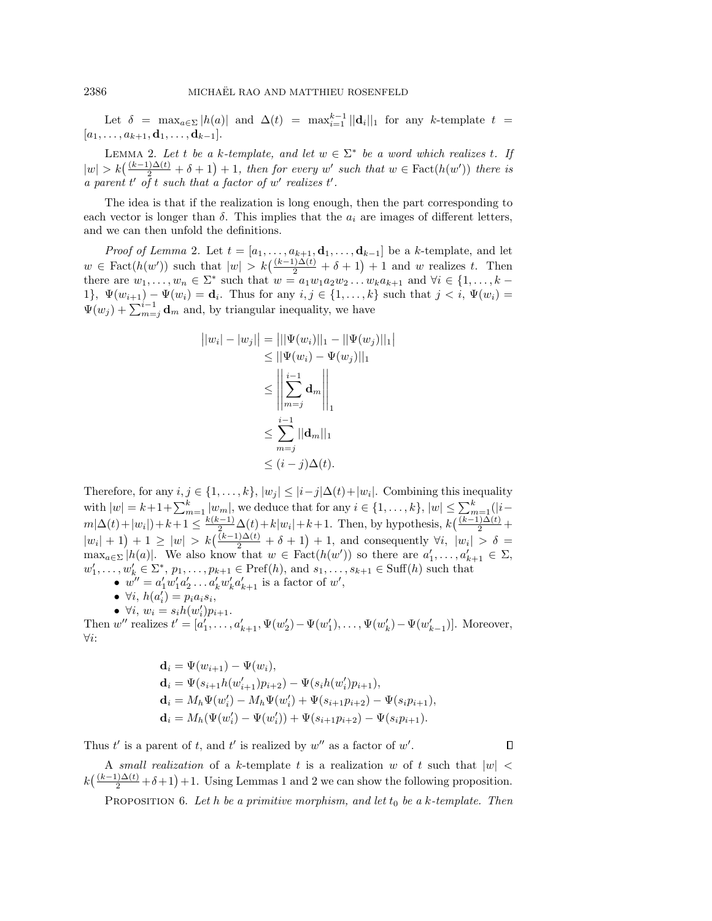Let  $\delta = \max_{a \in \Sigma} |h(a)|$  and  $\Delta (t) = \max_{i=1}^{k-1} ||\mathbf{d}_i||_1$  for any k-template  $t =$  $[a_1, \ldots, a_{k+1}, \mathbf{d}_1, \ldots, \mathbf{d}_{k-1}].$ 

<span id="page-5-0"></span>LEMMA 2. Let t be a k-template, and let  $w \in \Sigma^*$  be a word which realizes t. If  $|w| > k\big(\frac{(k - 1)\Delta (t)}{2} + \delta + 1\big) + 1$ , then for every w' such that  $w \in \text{Fact}(h(w'))$  there is a parent t' of t such that a factor of w' realizes t'.

The idea is that if the realization is long enough, then the part corresponding to each vector is longer than  $\delta$ . This implies that the  $a_i$  are images of different letters, and we can then unfold the definitions.

*Proof of Lemma [2](#page-5-0).* Let  $t = [a_1, \ldots, a_{k+1}, \mathbf{d}_1, \ldots, \mathbf{d}_{k-1}]$  be a k-template, and let  $w \in \text{Fact}(h(w'))$  such that  $|w| > k\big(\frac{(k - 1)\Delta (t)}{2} + \delta + 1\big) + 1$  and w realizes t. Then there are  $w_1, \ldots, w_n \in \Sigma^*$  such that  $w = a_1w_1a_2w_2 \ldots w_ka_{k+1}$  and  $\forall i \in \{ 1, \ldots, k -$ 1},  $\Psi (w_{i+1}) - \Psi (w_i) = \mathbf{d}_i$ . Thus for any  $i, j \in \{ 1, ..., k \}$  such that  $j < i$ ,  $\Psi (w_i) =$  $\Psi (w_j ) + \sum_{m=j}^{i-1} \mathbf{d}_m$  and, by triangular inequality, we have

$$
||w_i| - |w_j|| = |||\Psi(w_i)||_1 - ||\Psi(w_j)||_1|
$$
  
\n
$$
\leq ||\Psi(w_i) - \Psi(w_j)||_1
$$
  
\n
$$
\leq \left\| \sum_{m=j}^{i-1} \mathbf{d}_m \right\|_1
$$
  
\n
$$
\leq \sum_{m=j}^{i-1} ||\mathbf{d}_m||_1
$$
  
\n
$$
\leq (i-j)\Delta(t).
$$

Therefore, for any  $i, j \in \{ 1, ..., k\}$ ,  $| w_j | \leq | i - j| \Delta (t)+| w_i |$ . Combining this inequality with  $|w| = k+1+\sum_{m=1}^k |w_m|$ , we deduce that for any  $i \in \{ 1, ..., k\}$ ,  $|w| \leq \sum_{m=1}^k (|i$  $m|\Delta(t)+|w_i|)+k+1 \leq \frac{k(k-1)}{2}\Delta(t)+k|w_i|+k+1$ . Then, by hypothesis,  $k\left(\frac{(k-1)\Delta(t)}{2}+\right)$  $|w_i| + 1$  + 1 \le | w| > \le  $k\left(\frac{(k-1)\Delta (t)}{2} + \delta + 1\right) + 1$ , and consequently  $\forall i, |w_i| > \delta$  =  $\max_{a \in \Sigma} |h(a)|$ . We also know that  $w \in \text{Fact}(h(w'))$  so there are  $a'_1, \ldots, a'_{k+1} \in \Sigma$ ,  $w'_1, \ldots, w'_k \in \Sigma^*, p_1, \ldots, p_{k+1} \in \text{Pref}(h)$ , and  $s_1, \ldots, s_{k+1} \in \text{Suff}(h)$  such that

- $w'' = a'_1 w'_1 a'_2 \dots a'_k w'_k a'_{k+1}$  is a factor of w',
- $\bullet \ \forall i, h(a'_i) = p_i a_i s_i,$
- $\bullet \ \forall i, w_i = s_i h(w'_i) p_{i+1}.$

Then  $w''$  realizes  $t' = [a'_1, \ldots, a'_{k+1}, \Psi(w'_2) - \Psi(w'_1), \ldots, \Psi(w'_k) - \Psi(w'_{k-1})]$ . Moreover,  $\forall i$ :

$$
\mathbf{d}_{i} = \Psi(w_{i+1}) - \Psi(w_{i}),
$$
\n
$$
\mathbf{d}_{i} = \Psi(s_{i+1}h(w'_{i+1})p_{i+2}) - \Psi(s_{i}h(w'_{i})p_{i+1}),
$$
\n
$$
\mathbf{d}_{i} = M_{h}\Psi(w'_{i}) - M_{h}\Psi(w'_{i}) + \Psi(s_{i+1}p_{i+2}) - \Psi(s_{i}p_{i+1}),
$$
\n
$$
\mathbf{d}_{i} = M_{h}(\Psi(w'_{i}) - \Psi(w'_{i})) + \Psi(s_{i+1}p_{i+2}) - \Psi(s_{i}p_{i+1}).
$$

Thus t' is a parent of t, and t' is realized by  $w''$  as a factor of w'.

A small realization of a k-template t is a realization w of t such that  $|w|$  $k\left(\frac{(k-1)\Delta (t)}{2} + \delta +1\right) +1.$  Using Lemmas [1](#page-4-1) and [2](#page-5-0) we can show the following proposition.

PROPOSITION 6. Let h be a primitive morphism, and let  $t_0$  be a k-template. Then

 $\Box$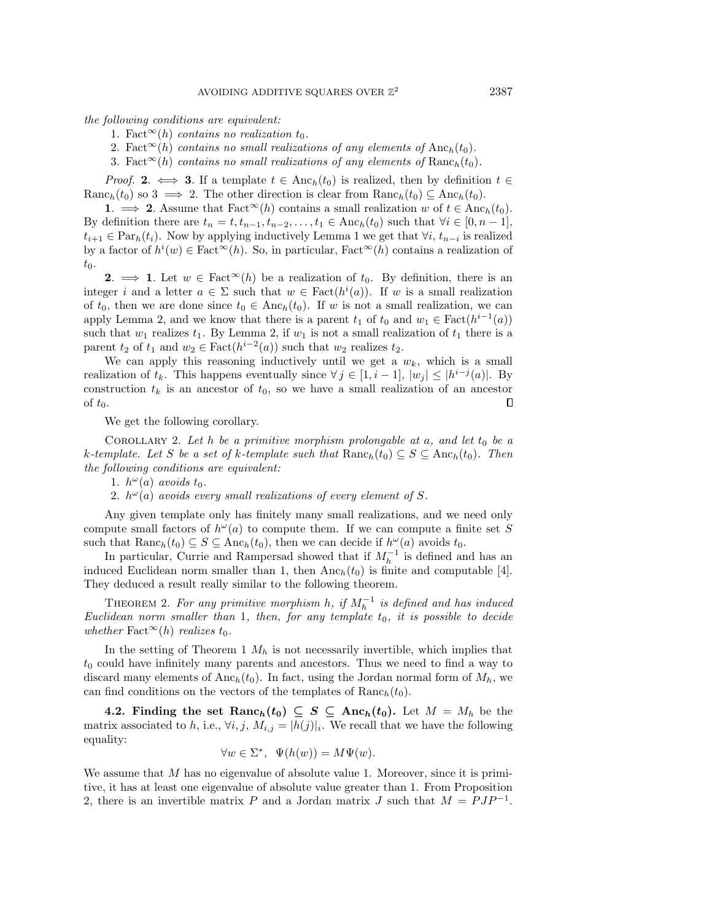the following conditions are equivalent:

1. Fact  $\infty(h)$  contains no realization t<sub>0</sub>.

- 2. Fact<sup> $\infty$ </sup>(h) contains no small realizations of any elements of Anc<sub>h</sub>(t<sub>0</sub>).
- 3. Fact  $\infty(h)$  contains no small realizations of any elements of Ranc<sub>h</sub>(t<sub>0</sub>).

*Proof.* 2.  $\iff$  3. If a template  $t \in \text{Anc}_h(t_0)$  is realized, then by definition  $t \in$ Ranc<sub>h</sub>(t<sub>0</sub>) so 3  $\implies$  2. The other direction is clear from Ranc<sub>h</sub>(t<sub>0</sub>)  $\subseteq$  Anc<sub>h</sub>(t<sub>0</sub>).

1.  $\implies$  2. Assume that Fact<sup> $\infty$ </sup>(h) contains a small realization w of  $t \in \text{Anc}_h(t_0)$ . By definition there are  $t_n = t, t_{n-1}, t_{n-2}, \ldots, t_1 \in \text{Anc}_h(t_0)$  such that  $\forall i \in [0, n - 1]$ ,  $t_{i+1} \in \text{Par}_h(t_i)$ . Now by applying inductively Lemma [1](#page-4-1) we get that  $\forall i, t_{n-i}$  is realized by a factor of  $h^{i}(w) \in \text{Fact}^{\infty}(h)$ . So, in particular, Fact $\infty(h)$  contains a realization of  $t_0$ .

2.  $\implies$  1. Let  $w \in \text{Fact}^{\infty}(h)$  be a realization of  $t_0$ . By definition, there is an integer i and a letter  $a \in \Sigma$  such that  $w \in \text{Fact}(h^i(a))$ . If w is a small realization of  $t_0$ , then we are done since  $t_0 \in \text{Anc}_h(t_0)$ . If w is not a small realization, we can apply Lemma [2,](#page-5-0) and we know that there is a parent  $t_1$  of  $t_0$  and  $w_1 \in \text{Fact}(h^{i-1}(a))$ such that  $w_1$  realizes  $t_1$ . By Lemma [2,](#page-5-0) if  $w_1$  is not a small realization of  $t_1$  there is a parent  $t_2$  of  $t_1$  and  $w_2 \in \text{Fact}(h^{i-2}(a))$  such that  $w_2$  realizes  $t_2$ .

We can apply this reasoning inductively until we get a  $w_k$ , which is a small realization of  $t_k$ . This happens eventually since  $\forall j \in [1, i - 1], |w_j| \leq | h^{i - j}(a)|$ . By construction  $t_k$  is an ancestor of  $t_0$ , so we have a small realization of an ancestor of  $t_0$ . □

We get the following corollary.

<span id="page-6-0"></span>COROLLARY 2. Let  $h$  be a primitive morphism prolongable at  $a$ , and let  $t_0$  be a k-template. Let S be a set of k-template such that  $\text{Ranc}_h(t_0) \subseteq S \subseteq \text{Anc}_h(t_0)$ . Then the following conditions are equivalent:

1.  $h^{\omega}(a)$  avoids  $t_0$ .

2.  $h^{\omega}(a)$  avoids every small realizations of every element of S.

Any given template only has finitely many small realizations, and we need only compute small factors of  $h^{\omega}(a)$  to compute them. If we can compute a finite set S such that  $\text{Ranc}_h(t_0) \subseteq S \subseteq \text{Anc}_h(t_0)$ , then we can decide if  $h^{\omega}(a)$  avoids  $t_0$ .

In particular, Currie and Rampersad showed that if  $M_h^{-1}$  is defined and has an induced Euclidean norm smaller than 1, then  $\text{Anc}_h(t_0)$  is finite and computable [\[4\]](#page-16-9). They deduced a result really similar to the following theorem.

THEOREM 2. For any primitive morphism h, if  $M_h^{-1}$  is defined and has induced Euclidean norm smaller than 1, then, for any template  $t_0$ , it is possible to decide whether Fact<sup> $\infty$ </sup>(h) realizes t<sub>0</sub>.

In the setting of Theorem [1](#page-4-2)  $M_h$  is not necessarily invertible, which implies that  $t_0$  could have infinitely many parents and ancestors. Thus we need to find a way to discard many elements of Anch(t<sub>0</sub>). In fact, using the Jordan normal form of  $M_h$ , we can find conditions on the vectors of the templates of  $\text{Ranc}_h(t_0)$ .

4.2. Finding the set  $\text{Ranc}_h(t_0) \subseteq S \subseteq \text{Anc}_h(t_0)$ . Let  $M = M_h$  be the matrix associated to h, i.e.,  $\forall i, j, M_{i,j} = |h(j)|_i$ . We recall that we have the following equality:

$$
\forall w \in \Sigma^*, \ \Psi(h(w)) = M\Psi(w).
$$

We assume that  $M$  has no eigenvalue of absolute value 1. Moreover, since it is primitive, it has at least one eigenvalue of absolute value greater than 1. From Proposition [2,](#page-2-1) there is an invertible matrix P and a Jordan matrix J such that  $M = PJP^{-1}$ .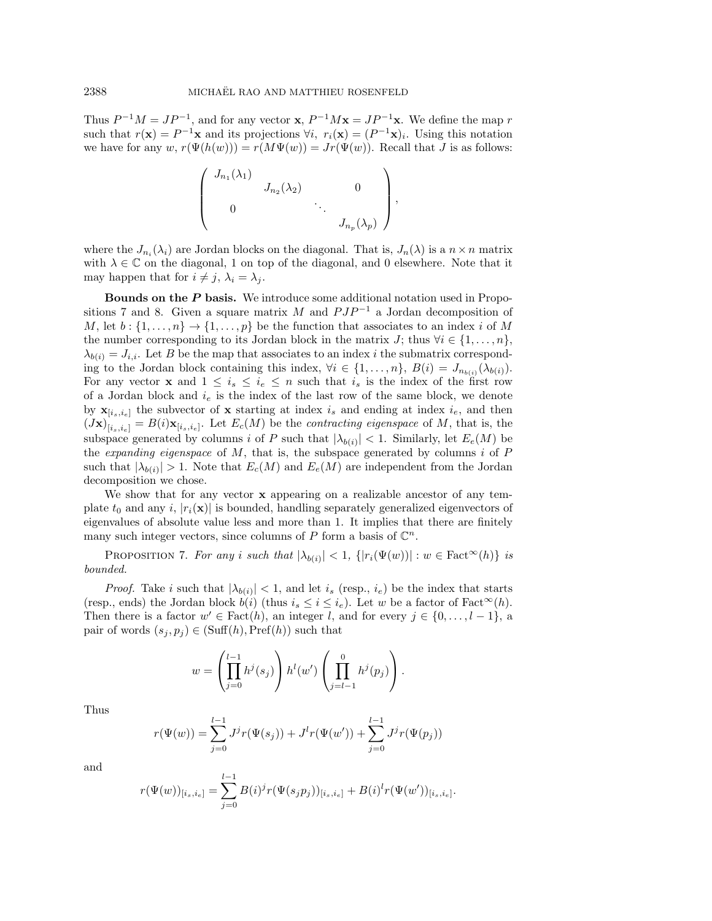Thus  $P^{-1}M = JP^{-1}$ , and for any vector **x**,  $P^{-1}M$ **x** =  $JP^{-1}$ **x**. We define the map r such that  $r(\mathbf{x}) = P^{-1}\mathbf{x}$  and its projections  $\forall i, r_i(\mathbf{x}) = (P^{-1}\mathbf{x})_i$ . Using this notation we have for any  $w, r(\Psi (h(w))) = r(M\Psi (w)) = Jr(\Psi (w))$ . Recall that J is as follows:

$$
\left(\begin{array}{cccc}J_{n_1}(\lambda_1) & & & & \\ & J_{n_2}(\lambda_2) & & 0 \\ & 0 & & \ddots & \\ & & & J_{n_p}(\lambda_p)\end{array}\right),
$$

where the  $J_{n_i}(\lambda_i)$  are Jordan blocks on the diagonal. That is,  $J_n(\lambda)$  is a  $n \times n$  matrix with  $\lambda \in \Bbb C$  on the diagonal, 1 on top of the diagonal, and 0 elsewhere. Note that it may happen that for  $i \neq j$ ,  $\lambda_i = \lambda_j$ .

**Bounds on the**  $\bf{P}$  **basis.** We introduce some additional notation used in Propo-sitions [7](#page-7-0) and [8.](#page-8-0) Given a square matrix M and  $PJP^{-1}$  a Jordan decomposition of M, let  $b : \{ 1, ..., n\} \rightarrow \{ 1, ..., p\}$  be the function that associates to an index i of M the number corresponding to its Jordan block in the matrix J; thus  $\forall i \in \{ 1, ..., n\}$ ,  $\lambda_{b(i)} = J_{i,i}$ . Let B be the map that associates to an index i the submatrix corresponding to the Jordan block containing this index,  $\forall i \in \{ 1, ..., n\} , B(i) = J_{n_{b(i)}}(\lambda_{b(i)})$ . For any vector **x** and  $1 \leq i_s \leq i_e \leq n$  such that  $i_s$  is the index of the first row of a Jordan block and  $i_e$  is the index of the last row of the same block, we denote by  $\mathbf{x}_{[i_s,i_e]}$  the subvector of x starting at index  $i_s$  and ending at index  $i_e$ , and then  $(Jx)_{[i_s,i_e]} = B(i)x_{[i_s,i_e]}$ . Let  $E_c(M)$  be the *contracting eigenspace* of M, that is, the subspace generated by columns i of P such that  $|\lambda_{b(i)}|$  < 1. Similarly, let  $E_e(M)$  be the *expanding eigenspace* of  $M$ , that is, the subspace generated by columns  $i$  of  $P$ such that  $|\lambda_{b(i)}| > 1$ . Note that  $E_c(M)$  and  $E_e(M)$  are independent from the Jordan decomposition we chose.

We show that for any vector  $\bf{x}$  appearing on a realizable ancestor of any template  $t_0$  and any i,  $|r_i(\mathbf{x})|$  is bounded, handling separately generalized eigenvectors of eigenvalues of absolute value less and more than 1. It implies that there are finitely many such integer vectors, since columns of P form a basis of  $\mathbb C^n$ .

<span id="page-7-0"></span>PROPOSITION 7. For any i such that  $|\lambda_{b(i)}| < 1$ ,  $\{ | r_i(\Psi(w))| : w \in \text{Fact}^{\infty}(h)\}$  is bounded.

*Proof.* Take i such that  $|\lambda_{b(i)}| < 1$ , and let i<sub>s</sub> (resp., i<sub>e</sub>) be the index that starts (resp., ends) the Jordan block  $b(i)$  (thus  $i_s \leq i \leq i_e$ ). Let w be a factor of Fact<sup> $\infty$ </sup>(h). Then there is a factor  $w' \in \text{Fact}(h)$ , an integer l, and for every  $j \in \{ 0, ..., l - 1\}$ , a pair of words  $(s_j, p_j) \in (Suff(h),Pref(h))$  such that

$$
w = \left(\prod_{j=0}^{l-1} h^j(s_j)\right) h^l(w') \left(\prod_{j=l-1}^{0} h^j(p_j)\right).
$$

Thus

$$
r(\Psi(w)) = \sum_{j=0}^{l-1} J^j r(\Psi(s_j)) + J^l r(\Psi(w')) + \sum_{j=0}^{l-1} J^j r(\Psi(p_j))
$$

and

$$
r(\Psi(w))_{[i_s,i_e]} = \sum_{j=0}^{i-1} B(i)^j r(\Psi(s_j p_j))_{[i_s,i_e]} + B(i)^l r(\Psi(w'))_{[i_s,i_e]}.
$$

 $l - 1$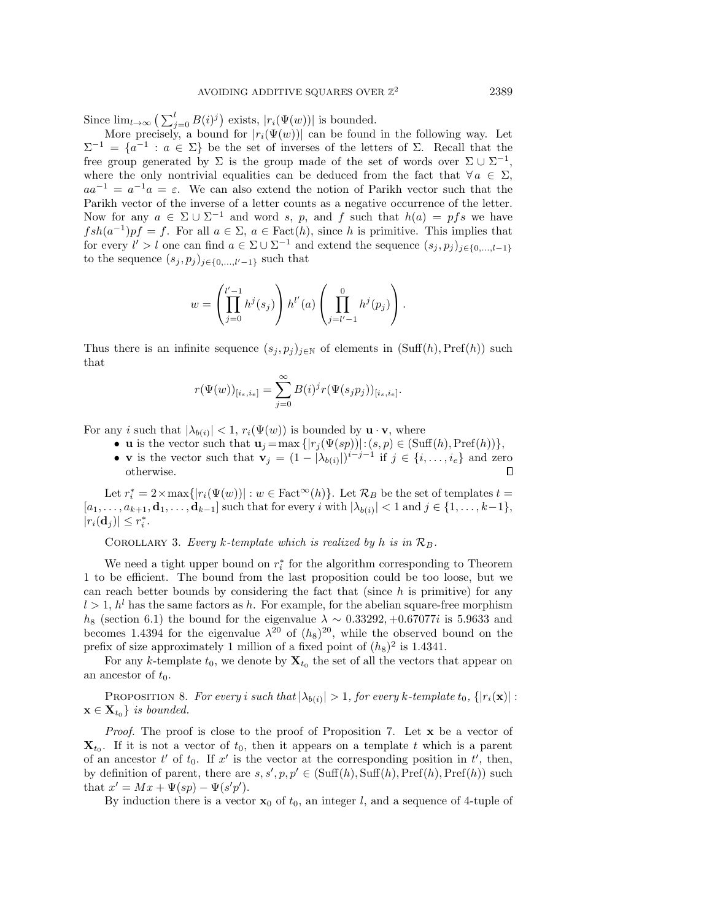Since  $\lim_{l\rightarrow \infty} \big( \sum_{j=0}^l B(i)^j \big)$  exists,  $|r_i(\Psi(w))|$  is bounded.

More precisely, a bound for  $|r_i(\Psi (w))|$  can be found in the following way. Let  $\Sigma^{-1} = \{ a^{-1} : a \in \Sigma \}$  be the set of inverses of the letters of  $\Sigma$ . Recall that the free group generated by  $\Sigma$  is the group made of the set of words over  $\Sigma \cup \Sigma^{-1}$ , where the only nontrivial equalities can be deduced from the fact that  $\forall a \in \Sigma$ ,  $aa^{-1} = a^{-1}a = \varepsilon$ . We can also extend the notion of Parikh vector such that the Parikh vector of the inverse of a letter counts as a negative occurrence of the letter. Now for any  $a \in \Sigma \cup \Sigma^{-1}$  and word s, p, and f such that  $h(a) = pfs$  we have  $fsh(a^{-1})pf = f$ . For all  $a \in \Sigma$ ,  $a \in Fact(h)$ , since h is primitive. This implies that for every  $l' > l$  one can find  $a \in \Sigma \cup \Sigma^{-1}$  and extend the sequence  $(s_j , p_j)_{j \in \{ 0, ...,l-1 \}}$ to the sequence  $(s_j, p_j)_{j\in \{ 0,\ldots, l'-1\}}$  such that

$$
w = \left(\prod_{j=0}^{l'-1} h^j(s_j)\right) h^{l'}(a) \left(\prod_{j=l'-1}^{0} h^j(p_j)\right).
$$

Thus there is an infinite sequence  $(s_j, p_j)_{j\in \mathbb{N}}$  of elements in  $(Suff(h),Pref(h))$  such that

$$
r(\Psi(w))_{[i_s,i_e]} = \sum_{j=0}^{\infty} B(i)^{j} r(\Psi(s_j p_j))_{[i_s,i_e]}.
$$

For any *i* such that  $|\lambda_{b(i)}| < 1$ ,  $r_i(\Psi(w))$  is bounded by  $\mathbf{u} \cdot \mathbf{v}$ , where

- $\bullet$  **u** is the vector such that  $\mathbf{u}_j = \max \{ | r_j (\Psi(sp))| : (s, p) \in (\text{Suff}(h),\text{Pref}(h))\},\$
- **v** is the vector such that  $\mathbf{v}_j = (1 | \lambda_{b(i)}|)^{i j 1}$  if  $j \in \{i, ..., i_e\}$  and zero otherwise. П

Let  $r_i^* = 2 \times \max\{ | r_i(\Psi(w))| : w \in \text{Fact}^{\infty}(h) \}.$  Let  $\mathcal{R}_B$  be the set of templates  $t =$  $[a_1, \ldots, a_{k+1}, \mathbf{d}_1, \ldots, \mathbf{d}_{k-1}]$  such that for every i with  $|\lambda_{b(i)}| < 1$  and  $j \in \{1, \ldots, k-1\}$ ,  $|r_i(\mathbf{d}_j)| \leq r_i^*.$ 

COROLLARY 3. Every k-template which is realized by h is in  $\mathcal{R}_B$ .

We need a tight upper bound on  $r_i^*$  for the algorithm corresponding to Theorem [1](#page-4-2) to be efficient. The bound from the last proposition could be too loose, but we can reach better bounds by considering the fact that (since  $h$  is primitive) for any  $l > 1$ ,  $h^l$  has the same factors as h. For example, for the abelian square-free morphism  $h_8$  (section [6.1\)](#page-13-2) the bound for the eigenvalue  $\lambda \sim 0.33292, +0.67077i$  is 5.9633 and becomes 1.4394 for the eigenvalue  $\lambda^{20}$  of  $(h_8)^{20}$ , while the observed bound on the prefix of size approximately 1 million of a fixed point of  $(h_8)^2$  is 1.4341.

For any k-template  $t_0$ , we denote by  $\mathbf{X}_{t_0}$  the set of all the vectors that appear on an ancestor of  $t_0$ .

<span id="page-8-0"></span>PROPOSITION 8. For every i such that  $|\lambda_{b(i)}| > 1$ , for every k-template  $t_0$ ,  $\{ |r_i(\mathbf{x})| :$  $\mathbf{x} \in \mathbf{X}_{t_0}$  is bounded.

Proof. The proof is close to the proof of Proposition [7.](#page-7-0) Let x be a vector of  $\mathbf{X}_{t_0}$ . If it is not a vector of  $t_0$ , then it appears on a template t which is a parent of an ancestor  $t'$  of  $t_0$ . If  $x'$  is the vector at the corresponding position in  $t'$ , then, by definition of parent, there are  $s, s', p, p' \in (\text{Suff}(h), \text{Suff}(h), \text{Pref}(h), \text{Pref}(h))$  such that  $x' = Mx + \Psi (sp) - \Psi (s'p').$ 

By induction there is a vector  $\mathbf{x}_0$  of  $t_0$ , an integer l, and a sequence of 4-tuple of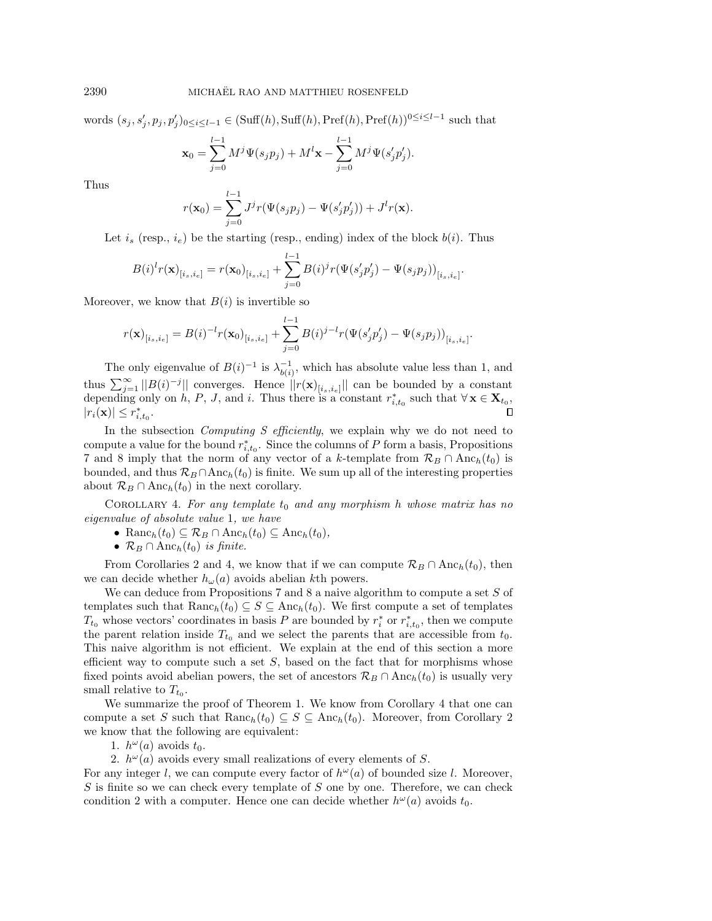words  $(s_j, s'_j, p_j, p'_j)_{0 \leq i \leq l-1} \in (\text{Suff}(h), \text{Suff}(h), \text{Pref}(h), \text{Pref}(h))^{0 \leq i \leq l-1}$  such that

$$
\mathbf{x}_0 = \sum_{j=0}^{l-1} M^j \Psi(s_j p_j) + M^l \mathbf{x} - \sum_{j=0}^{l-1} M^j \Psi(s'_j p'_j).
$$

Thus

$$
r(\mathbf{x}_0) = \sum_{j=0}^{l-1} J^j r(\Psi(s_j p_j) - \Psi(s'_j p'_j)) + J^l r(\mathbf{x}).
$$

Let  $i_s$  (resp.,  $i_e$ ) be the starting (resp., ending) index of the block  $b(i)$ . Thus

$$
B(i)^{l} r(\mathbf{x})_{[i_s,i_e]} = r(\mathbf{x}_0)_{[i_s,i_e]} + \sum_{j=0}^{l-1} B(i)^{j} r(\Psi(s'_j p'_j) - \Psi(s_j p_j))_{[i_s,i_e]}.
$$

Moreover, we know that  $B(i)$  is invertible so

$$
r(\mathbf{x})_{[i_s,i_e]} = B(i)^{-1} r(\mathbf{x}_0)_{[i_s,i_e]} + \sum_{j=0}^{l-1} B(i)^{j-l} r(\Psi(s'_j p'_j) - \Psi(s_j p_j))_{[i_s,i_e]}.
$$

The only eigenvalue of  $B(i)^{-1}$  is  $\lambda_{b(i)}^{-1}$ , which has absolute value less than 1, and thus  $\sum_{j=1}^{\infty} ||B(i)^{-j}||$  converges. Hence  $||r(\mathbf{x})_{[i_s,i_e]}||$  can be bounded by a constant depending only on h, P, J, and i. Thus there is a constant  $r_{i,t_0}^*$  such that  $\forall \mathbf{x} \in \mathbf{X}_{t_0}$ ,  $|r_i(\mathbf{x})| \leq r^*_{i,t_0}.$ 

In the subsection *Computing S efficiently*, we explain why we do not need to compute a value for the bound  $r_{i,t_0}^*$ . Since the columns of P form a basis, Propositions [7](#page-7-0) and [8](#page-8-0) imply that the norm of any vector of a k-template from  $\mathcal{R}_B \cap \text{Anc}_h(t_0)$  is bounded, and thus  $\mathcal{R}_B \cap \text{Anc}_h(t_0)$  is finite. We sum up all of the interesting properties about  $\mathcal{R}_B \cap \text{Anc}_h(t_0)$  in the next corollary.

<span id="page-9-0"></span>COROLLARY 4. For any template  $t_0$  and any morphism h whose matrix has no eigenvalue of absolute value 1, we have

• 
$$
\text{Ranc}_h(t_0) \subseteq \mathcal{R}_B \cap \text{Anc}_h(t_0) \subseteq \text{Anc}_h(t_0),
$$

 $\bullet \mathcal{R}_B \cap \text{Anc}_h(t_0)$  is finite.

From Corollaries [2](#page-6-0) and [4,](#page-9-0) we know that if we can compute  $\mathcal{R}_B \cap \text{Anc}_h(t_0)$ , then we can decide whether  $h_{\omega}(a)$  avoids abelian kth powers.

We can deduce from Propositions [7](#page-7-0) and [8](#page-8-0) a naive algorithm to compute a set  $S$  of templates such that  $\text{Ranc}_h(t_0) \subseteq S \subseteq \text{Anc}_h(t_0)$ . We first compute a set of templates  $T_{t_0}$  whose vectors' coordinates in basis P are bounded by  $r_i^*$  or  $r_{i,t_0}^*$ , then we compute the parent relation inside  $T_{t_0}$  and we select the parents that are accessible from  $t_0$ . This naive algorithm is not efficient. We explain at the end of this section a more efficient way to compute such a set  $S$ , based on the fact that for morphisms whose fixed points avoid abelian powers, the set of ancestors  $\mathcal{R}_B \cap \text{Anc}_h(t_0)$  is usually very small relative to  $T_{t_0}$ .

We summarize the proof of Theorem [1.](#page-4-2) We know from Corollary [4](#page-9-0) that one can compute a set S such that  $\text{Ranc}_h(t_0) \subseteq S \subseteq \text{Anc}_h(t_0)$ . Moreover, from Corollary [2](#page-6-0) we know that the following are equivalent:

1.  $h^{\omega}(a)$  avoids  $t_0$ .

2.  $h^{\omega}(a)$  avoids every small realizations of every elements of S.

For any integer l, we can compute every factor of  $h^{\omega}(a)$  of bounded size l. Moreover,  $S$  is finite so we can check every template of  $S$  one by one. Therefore, we can check condition 2 with a computer. Hence one can decide whether  $h^{\omega}(a)$  avoids  $t_0$ .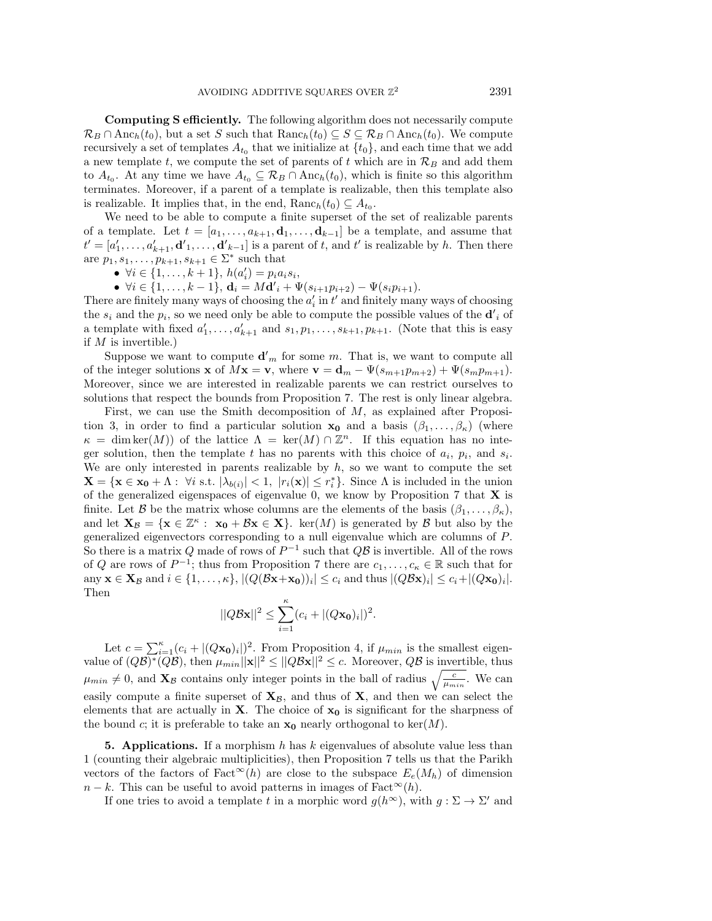Computing S efficiently. The following algorithm does not necessarily compute  $\mathcal{R}_B \cap \text{Anc}_h(t_0)$ , but a set S such that  $\text{Ranc}_h(t_0) \subseteq S \subseteq \mathcal{R}_B \cap \text{Anc}_h(t_0)$ . We compute recursively a set of templates  $A_{t_0}$  that we initialize at  $\{ t_0\}$ , and each time that we add a new template t, we compute the set of parents of t which are in  $\mathcal{R}_B$  and add them to  $A_{t_0}$ . At any time we have  $A_{t_0} \subseteq \mathcal{R}_B \cap \text{Anc}_h(t_0)$ , which is finite so this algorithm terminates. Moreover, if a parent of a template is realizable, then this template also is realizable. It implies that, in the end,  $\text{Ranc}_h(t_0) \subseteq A_{t_0}$ .

We need to be able to compute a finite superset of the set of realizable parents of a template. Let  $t = [a_1, \ldots, a_{k+1}, \mathbf{d}_1, \ldots, \mathbf{d}_{k-1}]$  be a template, and assume that  $t' = [a'_1, \ldots, a'_{k+1}, \mathbf{d'}_1, \ldots, \mathbf{d'}_{k-1}]$  is a parent of t, and t' is realizable by h. Then there are  $p_1, s_1, \ldots, p_{k+1}, s_{k+1} \in \Sigma^*$  such that

- $\bullet \ \forall i \in \{ 1, \ldots, k + 1\}, h(a'_i) = p_i a_i s_i,$
- $\bullet \ \forall i \in \{ 1, \ldots, k 1\} ,$   $\mathbf{d}_i = M \mathbf{d'}_i + \Psi (s_{i+1}p_{i+2}) \Psi (s_i p_{i+1}).$

There are finitely many ways of choosing the  $a'_i$  in  $t'$  and finitely many ways of choosing the  $s_i$  and the  $p_i$ , so we need only be able to compute the possible values of the  $\mathbf{d'}_i$  of a template with fixed  $a'_1, \ldots, a'_{k+1}$  and  $s_1, p_1, \ldots, s_{k+1}, p_{k+1}$ . (Note that this is easy if  $M$  is invertible.)

Suppose we want to compute  $\mathbf{d'}_m$  for some m. That is, we want to compute all of the integer solutions **x** of  $M$ **x** = **v**, where **v** = **d**<sub>m</sub> -  $\Psi (s_{m+1}p_{m+2}) + \Psi (s_m p_{m+1}).$ Moreover, since we are interested in realizable parents we can restrict ourselves to solutions that respect the bounds from Proposition [7.](#page-7-0) The rest is only linear algebra.

First, we can use the Smith decomposition of M, as explained after Proposi-tion [3,](#page-3-0) in order to find a particular solution  $\mathbf{x}_0$  and a basis  $(\beta_1, \ldots, \beta_{\kappa})$  (where  $\kappa = \dim \ker(M)$  of the lattice  $\Lambda = \ker(M) \cap \mathbb{Z}^n$ . If this equation has no integer solution, then the template t has no parents with this choice of  $a_i$ ,  $p_i$ , and  $s_i$ . We are only interested in parents realizable by  $h$ , so we want to compute the set  $\mathbf{X} = \{ \mathbf{x} \in \mathbf{x_0} + \Lambda : \forall i \text{ s.t. } |\lambda_{b(i)}| < 1, |r_i(\mathbf{x})| \leq r_i^* \}.$  Since  $\Lambda$  is included in the union of the generalized eigenspaces of eigenvalue 0, we know by Proposition [7](#page-7-0) that  $X$  is finite. Let  $\mathcal B$  be the matrix whose columns are the elements of the basis  $(\beta_1, \ldots, \beta_\kappa)$ , and let  $\mathbf{X}_{\mathcal{B}} = \{ \mathbf{x} \in \mathbb{Z}^{\kappa} : \mathbf{x}_{0} + \mathcal{B}\mathbf{x} \in \mathbf{X} \}.$  ker(M) is generated by  $\mathcal{B}$  but also by the generalized eigenvectors corresponding to a null eigenvalue which are columns of P. So there is a matrix Q made of rows of  $P^{-1}$  such that  $Q\mathcal{B}$  is invertible. All of the rows of Q are rows of  $P^{-1}$ ; thus from Proposition [7](#page-7-0) there are  $c_1, \ldots, c_\kappa \in \mathbb{R}$  such that for any  $\mathbf{x} \in \mathbf{X}_{\mathcal{B}}$  and  $i \in \{1, ..., \kappa \}, | (Q(\mathcal{B}\mathbf{x}+\mathbf{x_0}))_i | \leq c_i$  and thus  $| (Q\mathcal{B}\mathbf{x})_i | \leq c_i + | (Q\mathbf{x_0})_i |$ . Then

$$
||Q\mathcal{B}\mathbf{x}||^2 \leq \sum_{i=1}^{\kappa} (c_i + |(Q\mathbf{x_0})_i|)^2.
$$

Let  $c = \sum_{i=1}^{\kappa} (c_i + |(Q\mathbf{x_0})_i|)^2$ . From Proposition [4,](#page-3-1) if  $\mu_{min}$  is the smallest eigenvalue of  $(Q\mathcal{B})^*(\overline{Q}\mathcal{B})$ , then  $\mu_{min} ||\mathbf{x}||^2 \leq ||Q\mathcal{B}\mathbf{x}||^2 \leq c$ . Moreover,  $Q\mathcal{B}$  is invertible, thus  $\mu_{min} \neq 0$ , and  $\mathbf{X}_{\mathcal{B}}$  contains only integer points in the ball of radius  $\sqrt{\frac{c}{\mu_{min}}}$ . We can easily compute a finite superset of  $X_\beta$ , and thus of X, and then we can select the elements that are actually in **X**. The choice of  $x_0$  is significant for the sharpness of the bound c; it is preferable to take an  $x_0$  nearly orthogonal to ker(M).

<span id="page-10-0"></span>**5. Applications.** If a morphism h has k eigenvalues of absolute value less than 1 (counting their algebraic multiplicities), then Proposition [7](#page-7-0) tells us that the Parikh vectors of the factors of Fact<sup> $\infty$ </sup>(h) are close to the subspace  $E_e(M_h)$  of dimension  $n - k$ . This can be useful to avoid patterns in images of Fact<sup> $\infty$ </sup>(h).

If one tries to avoid a template t in a morphic word  $g(h^\infty)$ , with  $g : \Sigma \rightarrow \Sigma'$  and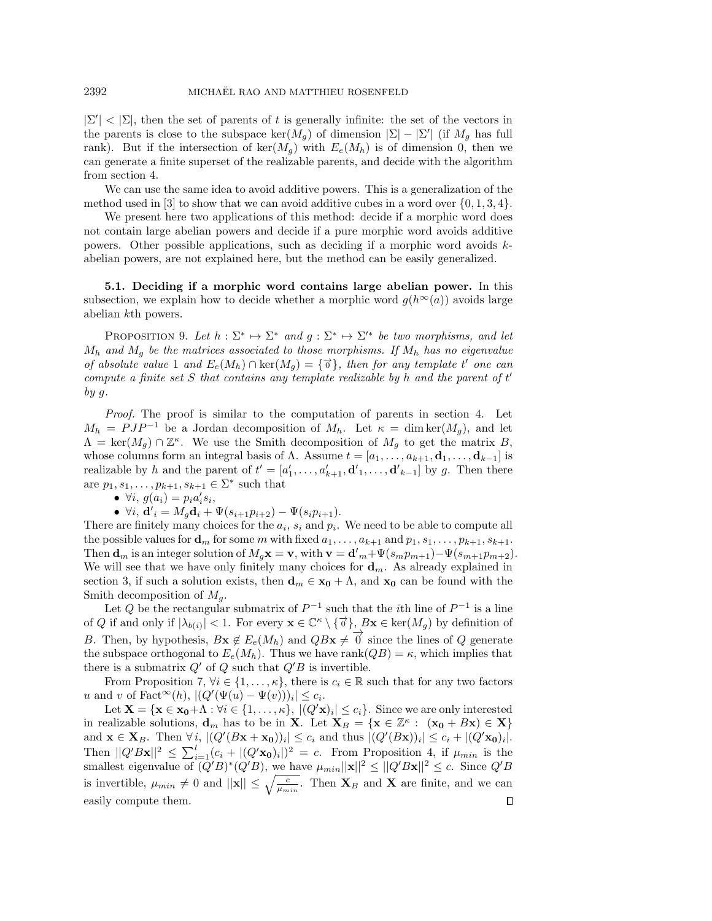$|\Sigma'| < |\Sigma|$ , then the set of parents of t is generally infinite: the set of the vectors in the parents is close to the subspace  $\ker(M_g)$  of dimension  $|\Sigma | - | \Sigma' |$  (if  $M_g$  has full rank). But if the intersection of  $\text{ker}(M_q)$  with  $E_e(M_h)$  is of dimension 0, then we can generate a finite superset of the realizable parents, and decide with the algorithm from section [4.](#page-4-0)

We can use the same idea to avoid additive powers. This is a generalization of the method used in [\[3\]](#page-16-2) to show that we can avoid additive cubes in a word over  $\{ 0, 1, 3, 4\}$ .

We present here two applications of this method: decide if a morphic word does not contain large abelian powers and decide if a pure morphic word avoids additive powers. Other possible applications, such as deciding if a morphic word avoids kabelian powers, are not explained here, but the method can be easily generalized.

5.1. Deciding if a morphic word contains large abelian power. In this subsection, we explain how to decide whether a morphic word  $g(h^{\infty}(a))$  avoids large abelian kth powers.

<span id="page-11-0"></span>PROPOSITION 9. Let  $h : \Sigma^* \mapsto \Sigma^*$  and  $g : \Sigma^* \mapsto \Sigma'^*$  be two morphisms, and let  $M_h$  and  $M_g$  be the matrices associated to those morphisms. If  $M_h$  has no eigenvalue of absolute value 1 and  $E_e(M_h) \cap \ker(M_g) = {\{\vec{\sigma}\}}$ , then for any template t' one can compute a finite set S that contains any template realizable by h and the parent of  $t'$ by g.

Proof. The proof is similar to the computation of parents in section [4.](#page-4-0) Let  $M_h = PJP^{-1}$  be a Jordan decomposition of  $M_h$ . Let  $\kappa = \dim \ker(M_g)$ , and let  $\Lambda = \ker(M_g) \cap \mathbb{Z}^{\kappa}$ . We use the Smith decomposition of  $M_g$  to get the matrix B, whose columns form an integral basis of  $\Lambda$ . Assume  $t = [a_1, \ldots, a_{k+1}, \mathbf{d}_1, \ldots, \mathbf{d}_{k-1}]$  is realizable by h and the parent of  $t' = [a'_1, \ldots, a'_{k+1}, \mathbf{d'}_1, \ldots, \mathbf{d'}_{k-1}]$  by g. Then there are  $p_1, s_1, \ldots, p_{k+1}, s_{k+1} \in \Sigma^*$  such that

 $\bullet \ \forall i, g(a_i) = p_i a_i' s_i,$ 

 $\bullet \ \forall i, \mathbf{d'}_i = M_g \mathbf{d}_i + \Psi(s_{i+1}p_{i+2}) - \Psi(s_i p_{i+1}).$ 

There are finitely many choices for the  $a_i$ ,  $s_i$  and  $p_i$ . We need to be able to compute all the possible values for  $\mathbf{d}_m$  for some m with fixed  $a_1, \ldots, a_{k+1}$  and  $p_1, s_1, \ldots, p_{k+1}, s_{k+1}$ . Then  $\mathbf{d}_m$  is an integer solution of  $M_g \mathbf{x} = \mathbf{v}$ , with  $\mathbf{v} = \mathbf{d'}_m + \Psi (s_m p_{m+1}) - \Psi (s_{m+1} p_{m+2}).$ We will see that we have only finitely many choices for  $\mathbf{d}_m$ . As already explained in section [3,](#page-3-2) if such a solution exists, then  $\mathbf{d}_m \in \mathbf{x}_0 + \Lambda$ , and  $\mathbf{x}_0$  can be found with the Smith decomposition of  $M_q$ .

Let Q be the rectangular submatrix of  $P^{-1}$  such that the *i*th line of  $P^{-1}$  is a line of Q if and only if  $|\lambda_{b(i)}| < 1$ . For every  $\mathbf{x} \in \mathbb{C}^{\kappa} \setminus \{\vec{\sigma}\}, B\mathbf{x} \in \text{ker}(M_g)$  by definition of B. Then, by hypothesis,  $Bx \notin E_e(M_h)$  and  $QBx \neq 0$  since the lines of Q generate the subspace orthogonal to  $E_e(M_h)$ . Thus we have rank $(QB) = \kappa$ , which implies that there is a submatrix  $Q'$  of Q such that  $Q'B$  is invertible.

From Proposition [7,](#page-7-0)  $\forall i \in \{ 1, \ldots, \kappa \},$  there is  $c_i \in \mathbb{R}$  such that for any two factors u and v of  $\text{Fact}^{\infty}(h), | (Q'(\Psi(u) - \Psi(v)))_i | \leq c_i.$ 

Let  $\mathbf{X} = \{ \mathbf{x} \in \mathbf{x_0} + \Lambda : \forall i \in \{ 1, ..., \kappa \}, | (Q'\mathbf{x})_i | \leq c_i \}.$  Since we are only interested in realizable solutions,  $\mathbf{d}_m$  has to be in **X**. Let  $\mathbf{X}_B = \{ \mathbf{x} \in \mathbb{Z}^{\kappa} : (x_0 + B\mathbf{x}) \in \mathbf{X} \}$ and  $\mathbf{x} \in \mathbf{X}_B$ . Then  $\forall i, |(Q'(\mathbf{Bx} + \mathbf{x_0}))_i| \leq c_i$  and thus  $|(Q'(\mathbf{Bx}))_i| \leq c_i + |(Q'\mathbf{x_0})_i|$ . Then  $||Q'Bx||^2 \leq \sum_{i=1}^l (c_i + |(Q'x_0)_i|)^2 = c$ . From Proposition [4,](#page-3-1) if  $\mu_{min}$  is the smallest eigenvalue of  $(Q'B)^*(Q'B)$ , we have  $\mu_{min} ||\mathbf{x}||^2 \leq ||Q'B\mathbf{x}||^2 \leq c$ . Since  $Q'B$ is invertible,  $\mu_{min} \neq 0$  and  $||\mathbf{x}|| \leq \sqrt{\frac{c}{\mu_{min}}}$ . Then  $\mathbf{X}_B$  and  $\mathbf{X}$  are finite, and we can easily compute them. $\Box$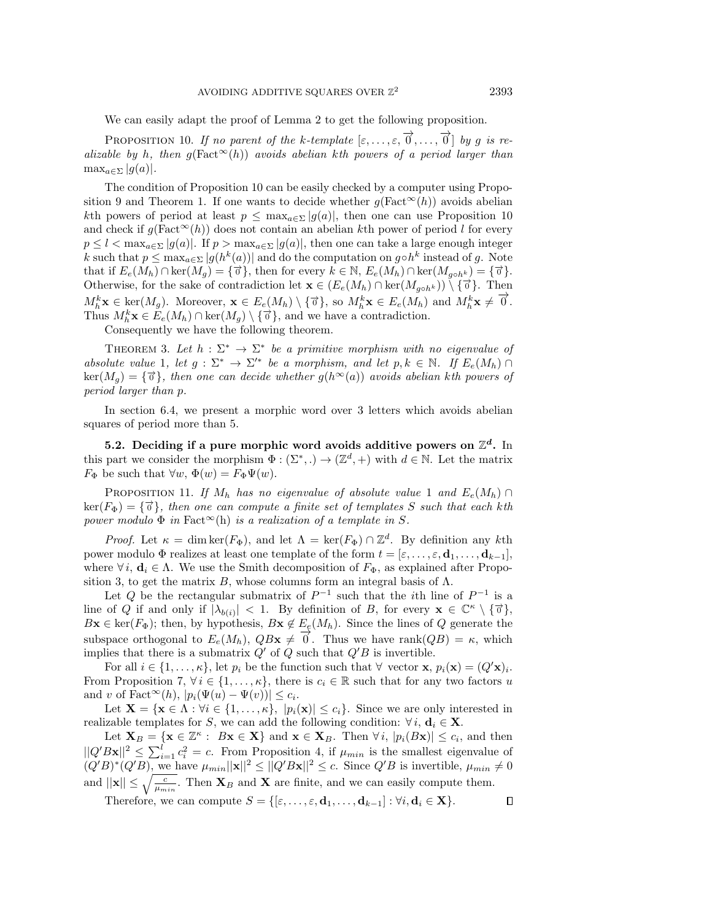We can easily adapt the proof of Lemma [2](#page-5-0) to get the following proposition.

<span id="page-12-0"></span>PROPOSITION 10. If no parent of the k-template  $[\varepsilon, \ldots, \varepsilon, \overrightarrow{0}, \ldots, \overrightarrow{0}]$  by g is realizable by h, then  $g(Fact^{\infty}(h))$  avoids abelian kth powers of a period larger than  $\max_{a \in \Sigma} |g(a)|$ .

The condition of Proposition [10](#page-12-0) can be easily checked by a computer using Propo-sition [9](#page-11-0) and Theorem [1.](#page-4-2) If one wants to decide whether  $g(Fact^{\infty}(h))$  avoids abelian kth powers of period at least  $p \leq \max_{a \in \Sigma} |g(a)|$ , then one can use Proposition [10](#page-12-0) and check if  $g(Fact^{\infty}(h))$  does not contain an abelian kth power of period l for every  $p \leq l < \max_{a \in \Sigma} |g(a)|$ . If  $p > \max_{a \in \Sigma} |g(a)|$ , then one can take a large enough integer k such that  $p \leq \max_{a \in \Sigma} |g(h^k(a))|$  and do the computation on  $g \circ h^k$  instead of g. Note that if  $E_e(M_h) \cap \ker(M_g) = {\{\overrightarrow{\sigma}\}}$ , then for every  $k \in \mathbb{N}$ ,  $E_e(M_h) \cap \ker(M_{g \circ h^k}) = {\{\overrightarrow{\sigma}\}}$ . Otherwise, for the sake of contradiction let  $\mathbf{x} \in (E_e(M_h) \cap \ker(M_{g \circ h^k})) \setminus \{\vec{\sigma}\}.$  Then  $M_h^k$ **x**  $\in$  ker $(M_g)$ . Moreover,  $\mathbf{x} \in E_e(M_h) \setminus \{\vec{\sigma}\}$ , so  $M_h^k$ **x**  $\in E_e(M_h)$  and  $M_h^k$ **x**  $\neq \vec{\sigma}$ . Thus  $M_h^k \mathbf{x} \in E_e(M_h) \cap \ker(M_g) \setminus \{ \vec{\sigma} \},$  and we have a contradiction.

Consequently we have the following theorem.

<span id="page-12-1"></span>THEOREM 3. Let  $h : \Sigma^* \to \Sigma^*$  be a primitive morphism with no eigenvalue of absolute value 1, let  $g: \Sigma^* \to \Sigma'^*$  be a morphism, and let  $p, k \in \mathbb{N}$ . If  $E_e(M_h) \cap$  $\ker(M_g) = \{ \vec{\sigma} \}$ , then one can decide whether  $g(h^{\infty}(a))$  avoids abelian kth powers of period larger than p.

In section [6.4,](#page-15-1) we present a morphic word over 3 letters which avoids abelian squares of period more than 5.

5.2. Deciding if a pure morphic word avoids additive powers on  $\mathbb Z^d$ . In this part we consider the morphism  $\Phi : (\Sigma^*,.) \to (\mathbb{Z}^d, +)$  with  $d \in \mathbb{N}$ . Let the matrix  $F_{\Phi}$  be such that  $\forall w, \Phi (w) = F_{\Phi} \Psi (w).$ 

PROPOSITION 11. If  $M_h$  has no eigenvalue of absolute value 1 and  $E_e(M_h) \cap$  $\ker(F_{\Phi}) = \{\vec{\sigma}\},\$  then one can compute a finite set of templates S such that each kth power modulo  $\Phi$  in Fact<sup> $\infty$ </sup>(h) is a realization of a template in S.

*Proof.* Let  $\kappa = \dim \ker(F_\Phi)$ , and let  $\Lambda = \ker(F_\Phi) \cap \mathbb{Z}^d$ . By definition any kth power modulo  $\Phi$  realizes at least one template of the form  $t = [\varepsilon, \ldots, \varepsilon, \mathbf{d}_1, \ldots, \mathbf{d}_{k-1}],$ where  $\forall i, \mathbf{d}_i \in \Lambda$ . We use the Smith decomposition of  $F_\Phi$ , as explained after Propo-sition [3,](#page-3-0) to get the matrix B, whose columns form an integral basis of  $\Lambda$ .

Let Q be the rectangular submatrix of  $P^{-1}$  such that the *i*th line of  $P^{-1}$  is a line of Q if and only if  $|\lambda_{b(i)}|$  < 1. By definition of B, for every  $\mathbf{x} \in \mathbb{C}^{\kappa} \setminus \{\vec{0}\},$  $B\mathbf{x} \in \text{ker}(F_{\Phi})$ ; then, by hypothesis,  $B\mathbf{x} \notin E_e(M_h)$ . Since the lines of Q generate the subspace orthogonal to  $E_e(M_h)$ ,  $QBx \neq 0$ . Thus we have rank $(QB) = \kappa$ , which implies that there is a submatrix  $Q'$  of  $Q$  such that  $Q'B$  is invertible.

For all  $i \in \{ 1, ..., \kappa \}$ , let  $p_i$  be the function such that  $\forall$  vector  $\mathbf{x}, p_i(\mathbf{x}) = (Q'\mathbf{x})_i$ . From Proposition [7,](#page-7-0)  $\forall i \in \{ 1, ..., \kappa \}$ , there is  $c_i \in \mathbb{R}$  such that for any two factors u and v of Fact<sup> $\infty$ </sup> $(h)$ ,  $| p_i(\Psi (u) - \Psi (v)) | \leq c_i$ .

Let  $\mathbf X = \{ \mathbf x \in \Lambda : \forall i \in \{ 1, ..., \kappa \}, | p_i(\mathbf x)| \leq c_i\}.$  Since we are only interested in realizable templates for S, we can add the following condition:  $\forall i, \mathbf{d}_i \in \mathbf{X}$ .

Let  $\mathbf{X}_B = \{ \mathbf{x} \in \mathbb{Z}^{\kappa} : B\mathbf{x} \in \mathbf{X} \}$  and  $\mathbf{x} \in \mathbf{X}_B$ . Then  $\forall i, |p_i(B\mathbf{x})| \leq c_i$ , and then  $||Q'B\mathbf{x}||^2 \leq \sum_{i=1}^l c_i^2 = c$ . From Proposition [4,](#page-3-1) if  $\mu_{min}$  is the smallest eigenvalue of  $(Q'B)^*(Q'B)$ , we have  $\mu_{min} ||\mathbf{x}||^2 \leq ||Q'B\mathbf{x}||^2 \leq c$ . Since  $Q'B$  is invertible,  $\mu_{min} \neq 0$ and  $||\mathbf{x}|| \leq \sqrt{\frac{c}{\mu_{min}}}$ . Then  $\mathbf{X}_B$  and  $\mathbf{X}$  are finite, and we can easily compute them.

Therefore, we can compute  $S = \{ [\varepsilon, \ldots, \varepsilon, \mathbf{d}_1, \ldots, \mathbf{d}_{k-1}] : \forall i, \mathbf{d}_i \in \mathbf{X}\}.$  $\Box$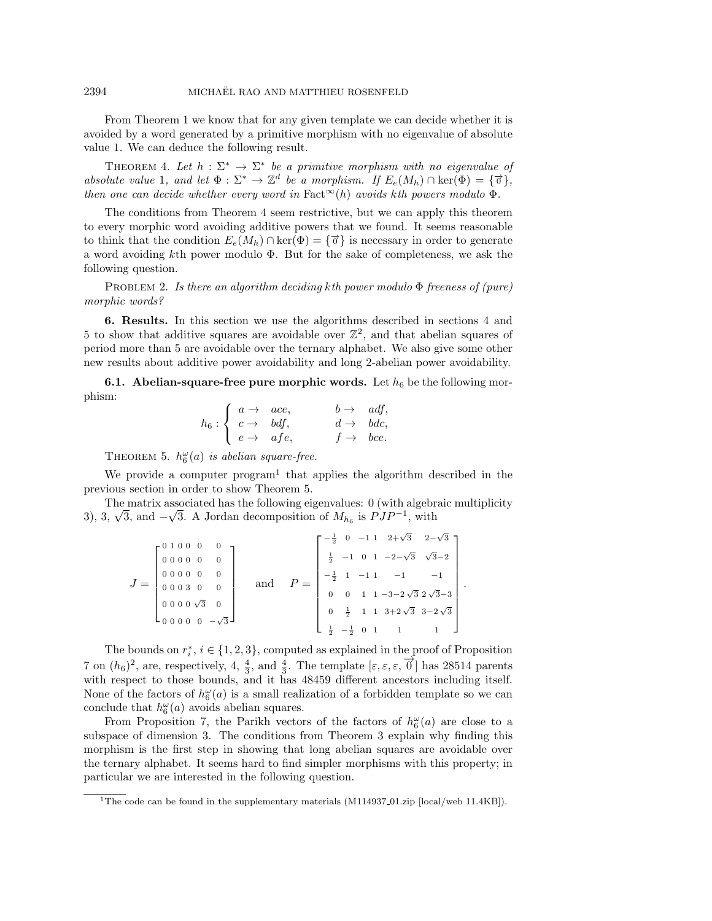From Theorem [1](#page-4-2) we know that for any given template we can decide whether it is avoided by a word generated by a primitive morphism with no eigenvalue of absolute value 1. We can deduce the following result.

<span id="page-13-3"></span>THEOREM 4. Let  $h : \Sigma^* \rightarrow \Sigma^*$  be a primitive morphism with no eigenvalue of absolute value 1, and let  $\Phi : \Sigma^* \to \mathbb{Z}^d$  be a morphism. If  $E_e(M_h) \cap \ker(\Phi) = \{ \vec{\sigma} \},$ then one can decide whether every word in Fact  $\infty(h)$  avoids kth powers modulo  $\Phi$ .

The conditions from Theorem [4](#page-13-3) seem restrictive, but we can apply this theorem to every morphic word avoiding additive powers that we found. It seems reasonable to think that the condition  $E_e(M_h) \cap \ker(\Phi) = {\{\vec{\sigma}\}}$  is necessary in order to generate a word avoiding  $k$ th power modulo  $\Phi$ . But for the sake of completeness, we ask the following question.

PROBLEM 2. Is there an algorithm deciding kth power modulo  $\Phi$  freeness of (pure) morphic words?

<span id="page-13-0"></span>6. Results. In this section we use the algorithms described in sections [4](#page-4-0) and [5](#page-10-0) to show that additive squares are avoidable over  $\mathbb{Z}^2$ , and that abelian squares of period more than 5 are avoidable over the ternary alphabet. We also give some other new results about additive power avoidability and long 2-abelian power avoidability.

<span id="page-13-2"></span>**6.1.** Abelian-square-free pure morphic words. Let  $h_6$  be the following morphism:

$$
h_6: \left\{ \begin{array}{ll} a \to & ace, & b \to & adf, \\ c \to & bdf, & d \to & bdc, \\ e \to & afe, & f \to & bce. \end{array} \right.
$$

THEOREM 5.  $h_6^{\omega}(a)$  is abelian square-free.

<span id="page-13-1"></span>We provide a computer  $program<sup>1</sup>$  $program<sup>1</sup>$  $program<sup>1</sup>$  that applies the algorithm described in the previous section in order to show Theorem [5.](#page-13-1)

The matrix associated has the following eigenvalues:  $0$  (with algebraic multiplicity 1 ne matrix associated has the following eigenvalues: 0 (with algebra), 3,  $\sqrt{3}$ , and  $-\sqrt{3}$ . A Jordan decomposition of  $M_{h_6}$  is  $PJP^{-1}$ , with

| $\left[ \begin{array}{cccccc} 0 & 1 & 0 & 0 & 0 & 0 & - \\ 0 & 0 & 0 & 0 & 0 & 0 & 0 \\ 0 & 0 & 0 & 0 & 0 & 0 & 0 \\ 0 & 0 & 0 & 3 & 0 & 0 & 0 \\ \end{array} \right]$ | and |               |                |  | $\begin{bmatrix} -\frac{1}{2} & 0 & -1 & 1 & 2+\sqrt{3} & 2-\sqrt{3} \end{bmatrix}$<br>$\frac{1}{2}$ -1 0 1 -2- $\sqrt{3}$ $\sqrt{3}$ -2<br>$\begin{bmatrix} -\frac{1}{2} & 1 & -1 & 1 & -1 & -1 \\ 0 & 0 & 1 & 1 & -3 & -2\sqrt{3} & 2\sqrt{3} & -3 \end{bmatrix}$<br>$0 \quad \frac{1}{2} \quad 1 \quad 1 \quad 3+2\sqrt{3} \quad 3-2\sqrt{3}$ |  |
|------------------------------------------------------------------------------------------------------------------------------------------------------------------------|-----|---------------|----------------|--|--------------------------------------------------------------------------------------------------------------------------------------------------------------------------------------------------------------------------------------------------------------------------------------------------------------------------------------------------|--|
| $\begin{bmatrix} 0 & 0 & 0 & 0 & -\sqrt{3} \end{bmatrix}$                                                                                                              |     | $\frac{1}{2}$ | $-\frac{1}{2}$ |  | $\begin{array}{ccccccccc} 0 & 1 & & 1 & & 1 \end{array}$                                                                                                                                                                                                                                                                                         |  |

.

The bounds on  $r_i^*$ ,  $i \in \{ 1, 2, 3\}$ , computed as explained in the proof of Proposition [7](#page-7-0) on  $(h_6)^2$ , are, respectively, 4,  $\frac{4}{3}$ , and  $\frac{4}{3}$ . The template  $[\varepsilon, \varepsilon, \varepsilon, \overrightarrow{0}]$  has 28514 parents with respect to those bounds, and it has 48459 different ancestors including itself. None of the factors of  $h_6^{\omega}(a)$  is a small realization of a forbidden template so we can conclude that  $h_6^{\omega}(a)$  avoids abelian squares.

From Proposition [7,](#page-7-0) the Parikh vectors of the factors of  $h_6^{\omega}(a)$  are close to a subspace of dimension 3. The conditions from Theorem [3](#page-12-1) explain why finding this morphism is the first step in showing that long abelian squares are avoidable over the ternary alphabet. It seems hard to find simpler morphisms with this property; in particular we are interested in the following question.

<span id="page-13-4"></span><sup>&</sup>lt;sup>1</sup>The code can be found in the supplementary materials (M114937<sub>-01</sub>.zip [\[local](M114937_01.zip)[/web](http://epubs.siam.org/doi/suppl/10.1137/17M1149377/suppl_file/M114937_01.zip) 11.4KB]).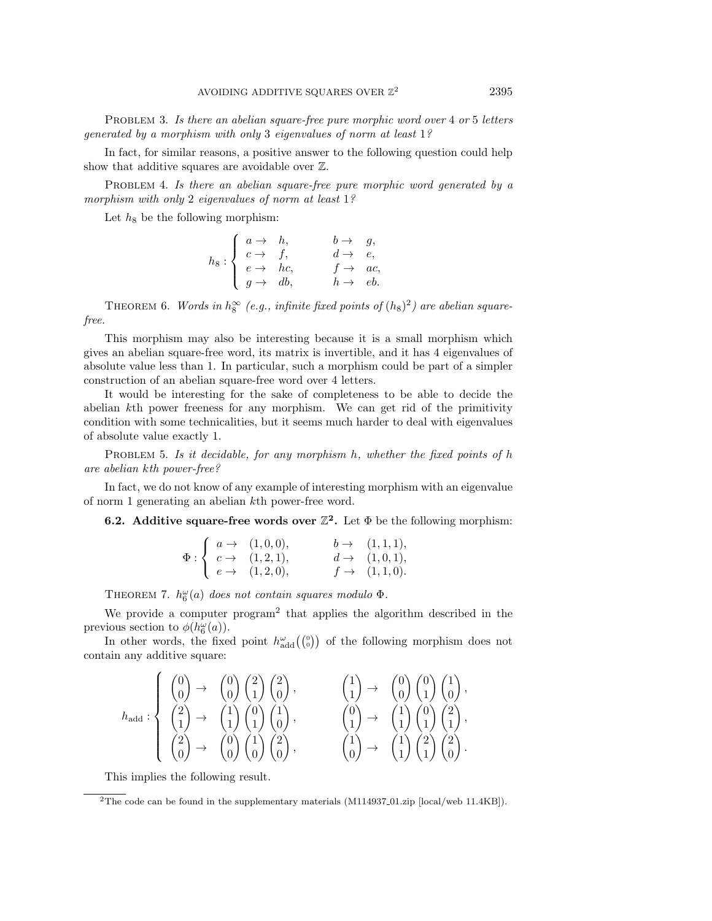PROBLEM 3. Is there an abelian square-free pure morphic word over 4 or 5 letters generated by a morphism with only 3 eigenvalues of norm at least 1?

In fact, for similar reasons, a positive answer to the following question could help show that additive squares are avoidable over  $\mathbb{Z}$ .

PROBLEM 4. Is there an abelian square-free pure morphic word generated by a morphism with only 2 eigenvalues of norm at least 1?

Let  $h_8$  be the following morphism:

|                                                                                               | $b \rightarrow g,$   |  |
|-----------------------------------------------------------------------------------------------|----------------------|--|
| $h_8: \left\{ \begin{array}{ccc} a \to & h, \\ c \to & f, \\ e \to & hc, \end{array} \right.$ | $d \rightarrow e$ ,  |  |
|                                                                                               | $f \rightarrow ac$ , |  |
| $g \rightarrow db$ ,                                                                          | $h \rightarrow e b.$ |  |

THEOREM 6. Words in  $h_8^{\infty}$  (e.g., infinite fixed points of  $(h_8)^2$ ) are abelian squarefree.

This morphism may also be interesting because it is a small morphism which gives an abelian square-free word, its matrix is invertible, and it has 4 eigenvalues of absolute value less than 1. In particular, such a morphism could be part of a simpler construction of an abelian square-free word over 4 letters.

It would be interesting for the sake of completeness to be able to decide the abelian kth power freeness for any morphism. We can get rid of the primitivity condition with some technicalities, but it seems much harder to deal with eigenvalues of absolute value exactly 1.

PROBLEM 5. Is it decidable, for any morphism h, whether the fixed points of h are abelian kth power-free?

In fact, we do not know of any example of interesting morphism with an eigenvalue of norm 1 generating an abelian kth power-free word.

**6.2.** Additive square-free words over  $\mathbb{Z}^2$ . Let  $\Phi$  be the following morphism:

|  | $\int a \rightarrow (1,0,0),$                                            | $b \to (1,1,1),$         |
|--|--------------------------------------------------------------------------|--------------------------|
|  | $\Phi: \left\{ c \rightarrow (1,2,1), \right.$                           | $d \rightarrow (1,0,1),$ |
|  | $\left\{ \begin{array}{ll} e \rightarrow & (1,2,0), \end{array} \right.$ | $f \to (1,1,0).$         |

THEOREM 7.  $h_6^{\omega}(a)$  does not contain squares modulo  $\Phi$ .

We provide a computer program<sup>[2](#page-14-1)</sup> that applies the algorithm described in the previous section to  $\phi(h_6^{\omega}(a))$ .

In other words, the fixed point  $h_{\text{add}}^{\omega}(\binom{0}{0})$  of the following morphism does not contain any additive square:

$$
h_{\text{add}}: \left\{ \begin{array}{lll} \begin{pmatrix} 0 \\ 0 \end{pmatrix} \rightarrow & \begin{pmatrix} 0 \\ 0 \end{pmatrix} \begin{pmatrix} 2 \\ 1 \end{pmatrix} \begin{pmatrix} 2 \\ 0 \end{pmatrix}, & \begin{pmatrix} 1 \\ 1 \end{pmatrix} \rightarrow & \begin{pmatrix} 0 \\ 0 \end{pmatrix} \begin{pmatrix} 1 \\ 1 \end{pmatrix} \begin{pmatrix} 0 \\ 0 \end{pmatrix}, \\ \begin{pmatrix} 2 \\ 1 \end{pmatrix} \rightarrow & \begin{pmatrix} 1 \\ 1 \end{pmatrix} \begin{pmatrix} 0 \\ 1 \end{pmatrix} \begin{pmatrix} 1 \\ 0 \end{pmatrix}, & \begin{pmatrix} 0 \\ 1 \end{pmatrix} \rightarrow & \begin{pmatrix} 1 \\ 1 \end{pmatrix} \begin{pmatrix} 0 \\ 1 \end{pmatrix} \begin{pmatrix} 2 \\ 1 \end{pmatrix}, \\ \begin{pmatrix} 2 \\ 0 \end{pmatrix} \rightarrow & \begin{pmatrix} 0 \\ 0 \end{pmatrix} \begin{pmatrix} 1 \\ 0 \end{pmatrix} \begin{pmatrix} 2 \\ 0 \end{pmatrix}, & \begin{pmatrix} 1 \\ 0 \end{pmatrix} \rightarrow & \begin{pmatrix} 1 \\ 1 \end{pmatrix} \begin{pmatrix} 2 \\ 1 \end{pmatrix} \begin{pmatrix} 2 \\ 0 \end{pmatrix}. \end{array} \right\}
$$

This implies the following result.

<span id="page-14-1"></span><span id="page-14-0"></span><sup>&</sup>lt;sup>2</sup>The code can be found in the supplementary materials  $(M114937.01\text{zip}$  [\[local](M114937_01.zip)[/web](http://epubs.siam.org/doi/suppl/10.1137/17M1149377/suppl_file/M114937_01.zip) 11.4KB]).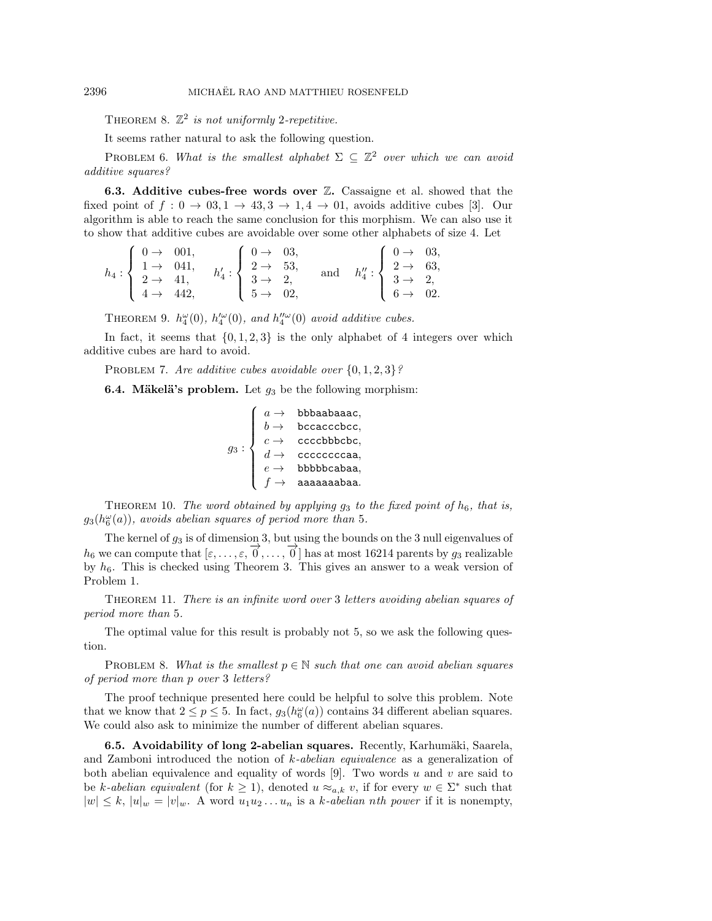THEOREM 8.  $\mathbb{Z}^2$  is not uniformly 2-repetitive.

It seems rather natural to ask the following question.

PROBLEM 6. What is the smallest alphabet  $\Sigma \subseteq \mathbb{Z}^2$  over which we can avoid additive squares?

**6.3.** Additive cubes-free words over  $\mathbb{Z}$ . Cassaigne et al. showed that the fixed point of  $f : 0 \rightarrow 03, 1 \rightarrow 43, 3 \rightarrow 1, 4 \rightarrow 01$ , avoids additive cubes [\[3\]](#page-16-2). Our algorithm is able to reach the same conclusion for this morphism. We can also use it to show that additive cubes are avoidable over some other alphabets of size 4. Let

$$
h_4: \left\{ \begin{array}{ll} 0 \to & 001, \\ 1 \to & 041, \\ 2 \to & 41, \\ 4 \to & 442, \end{array} \right. \quad h'_4: \left\{ \begin{array}{ll} 0 \to & 03, \\ 2 \to & 53, \\ 3 \to & 2, \\ 5 \to & 02, \end{array} \right. \quad \text{and} \quad h''_4: \left\{ \begin{array}{ll} 0 \to & 03, \\ 2 \to & 63, \\ 3 \to & 2, \\ 6 \to & 02. \end{array} \right.
$$

THEOREM 9.  $h_4^{\omega}(0)$ ,  $h_4^{\prime\omega}(0)$ , and  $h_4^{\prime\prime\omega}(0)$  avoid additive cubes.

In fact, it seems that  $\{ 0, 1, 2, 3\}$  is the only alphabet of 4 integers over which additive cubes are hard to avoid.

PROBLEM 7. Are additive cubes avoidable over  $\{ 0, 1, 2, 3\}$ ?

<span id="page-15-1"></span>**6.4. Mäkelä's problem.** Let  $g_3$  be the following morphism:

$$
g_3: \left\{ \begin{array}{ll} a\rightarrow & \text{bbbaabaaac},\\ b\rightarrow & \text{bccacccbc},\\ c\rightarrow & \text{ccccbbbbcbc},\\ d\rightarrow & \text{ccccccccaa},\\ e\rightarrow & \text{bbbbbccaba},\\ f\rightarrow & \text{aaaaaabaa}. \end{array} \right.
$$

<span id="page-15-2"></span>THEOREM 10. The word obtained by applying  $g_3$  to the fixed point of  $h_6$ , that is,  $g_3(h_6^{\omega}(a))$ , avoids abelian squares of period more than 5.

The kernel of  $g_3$  is of dimension 3, but using the bounds on the 3 null eigenvalues of h<sub>6</sub> we can compute that  $[\varepsilon, ..., \varepsilon, \overrightarrow{0}, ..., \overrightarrow{0}]$  has at most 16214 parents by  $g_3$  realizable by  $h_6$ . This is checked using Theorem [3.](#page-12-1) This gives an answer to a weak version of Problem [1.](#page-0-0)

<span id="page-15-0"></span>THEOREM 11. There is an infinite word over 3 letters avoiding abelian squares of period more than 5.

The optimal value for this result is probably not 5, so we ask the following question.

PROBLEM 8. What is the smallest  $p \in \Bbb N$  such that one can avoid abelian squares of period more than p over 3 letters?

The proof technique presented here could be helpful to solve this problem. Note that we know that  $2 \leq p \leq 5$ . In fact,  $g_3(h_6^{\omega}(a))$  contains 34 different abelian squares. We could also ask to minimize the number of different abelian squares.

**6.5. Avoidability of long 2-abelian squares.** Recently, Karhumäki, Saarela, and Zamboni introduced the notion of  $k$ -abelian equivalence as a generalization of both abelian equivalence and equality of words [\[9\]](#page-16-12). Two words u and v are said to be k-abelian equivalent (for  $k \geq 1$ ), denoted  $u \approx_{a,k} v$ , if for every  $w \in \Sigma^*$  such that  $|w| \leq k$ ,  $|u|_w = |v|_w$ . A word  $u_1u_2 \ldots u_n$  is a k-abelian nth power if it is nonempty,